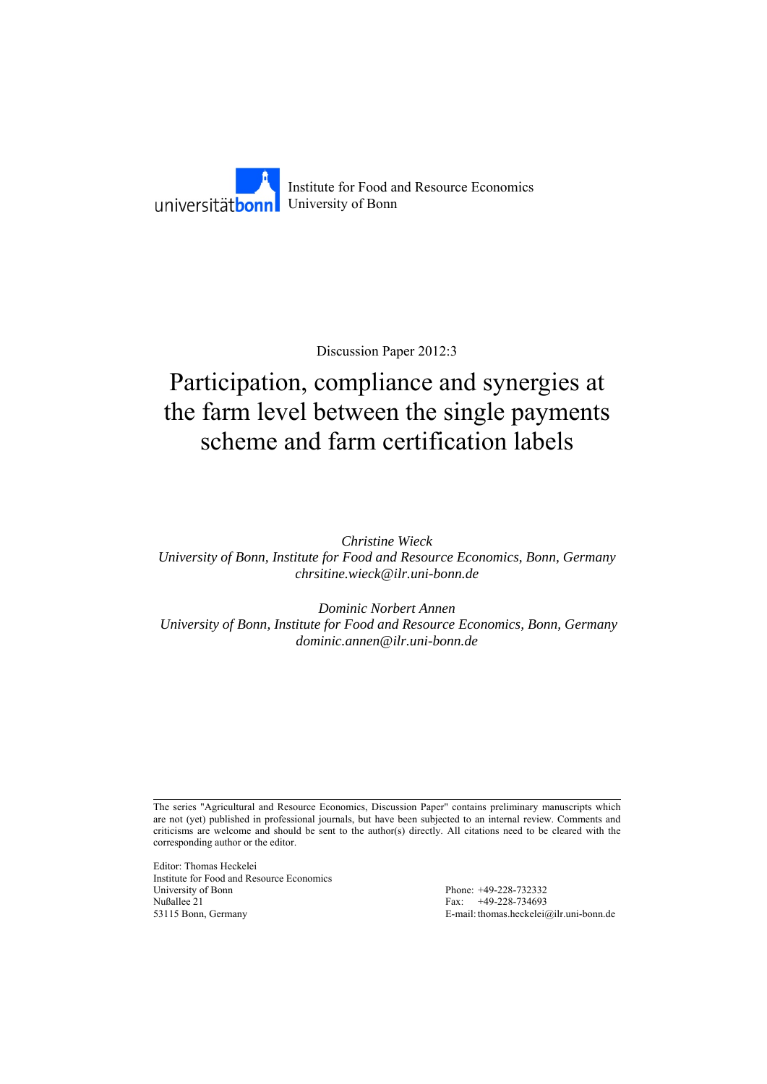

Discussion Paper 2012:3

# Participation, compliance and synergies at the farm level between the single payments scheme and farm certification labels

*Christine Wieck University of Bonn, Institute for Food and Resource Economics, Bonn, Germany chrsitine.wieck@ilr.uni-bonn.de* 

*Dominic Norbert Annen University of Bonn, Institute for Food and Resource Economics, Bonn, Germany dominic.annen@ilr.uni-bonn.de* 

The series "Agricultural and Resource Economics, Discussion Paper" contains preliminary manuscripts which are not (yet) published in professional journals, but have been subjected to an internal review. Comments and criticisms are welcome and should be sent to the author(s) directly. All citations need to be cleared with the corresponding author or the editor.

Editor: Thomas Heckelei Institute for Food and Resource Economics University of Bonn Phone: +49-228-732332 Nußallee 21 Fax: +49-228-734693<br>53115 Bonn, Germany E-mail: thomas.heckelei

E-mail: thomas.heckelei@ilr.uni-bonn.de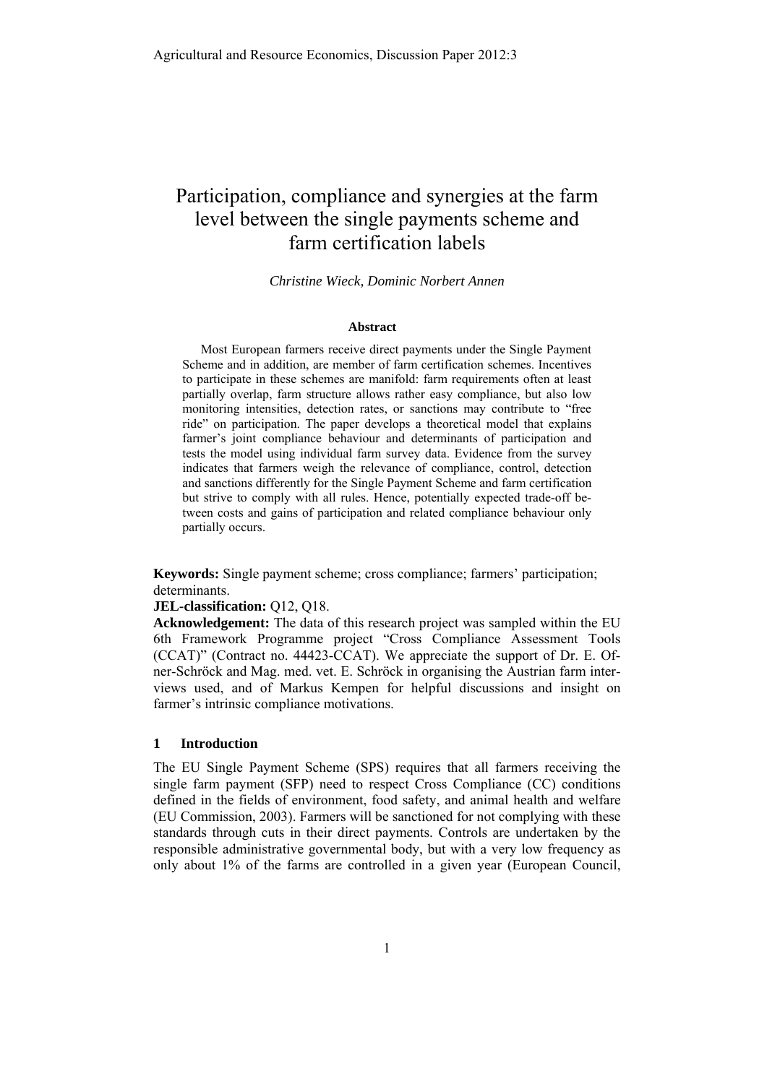# Participation, compliance and synergies at the farm level between the single payments scheme and farm certification labels

*Christine Wieck, Dominic Norbert Annen* 

#### **Abstract**

Most European farmers receive direct payments under the Single Payment Scheme and in addition, are member of farm certification schemes. Incentives to participate in these schemes are manifold: farm requirements often at least partially overlap, farm structure allows rather easy compliance, but also low monitoring intensities, detection rates, or sanctions may contribute to "free ride" on participation. The paper develops a theoretical model that explains farmer's joint compliance behaviour and determinants of participation and tests the model using individual farm survey data. Evidence from the survey indicates that farmers weigh the relevance of compliance, control, detection and sanctions differently for the Single Payment Scheme and farm certification but strive to comply with all rules. Hence, potentially expected trade-off between costs and gains of participation and related compliance behaviour only partially occurs.

**Keywords:** Single payment scheme; cross compliance; farmers' participation; determinants.

# **JEL-classification:** Q12, Q18.

**Acknowledgement:** The data of this research project was sampled within the EU 6th Framework Programme project "Cross Compliance Assessment Tools (CCAT)" (Contract no. 44423-CCAT). We appreciate the support of Dr. E. Ofner-Schröck and Mag. med. vet. E. Schröck in organising the Austrian farm interviews used, and of Markus Kempen for helpful discussions and insight on farmer's intrinsic compliance motivations.

# **1 Introduction**

The EU Single Payment Scheme (SPS) requires that all farmers receiving the single farm payment (SFP) need to respect Cross Compliance (CC) conditions defined in the fields of environment, food safety, and animal health and welfare (EU Commission, 2003). Farmers will be sanctioned for not complying with these standards through cuts in their direct payments. Controls are undertaken by the responsible administrative governmental body, but with a very low frequency as only about 1% of the farms are controlled in a given year (European Council,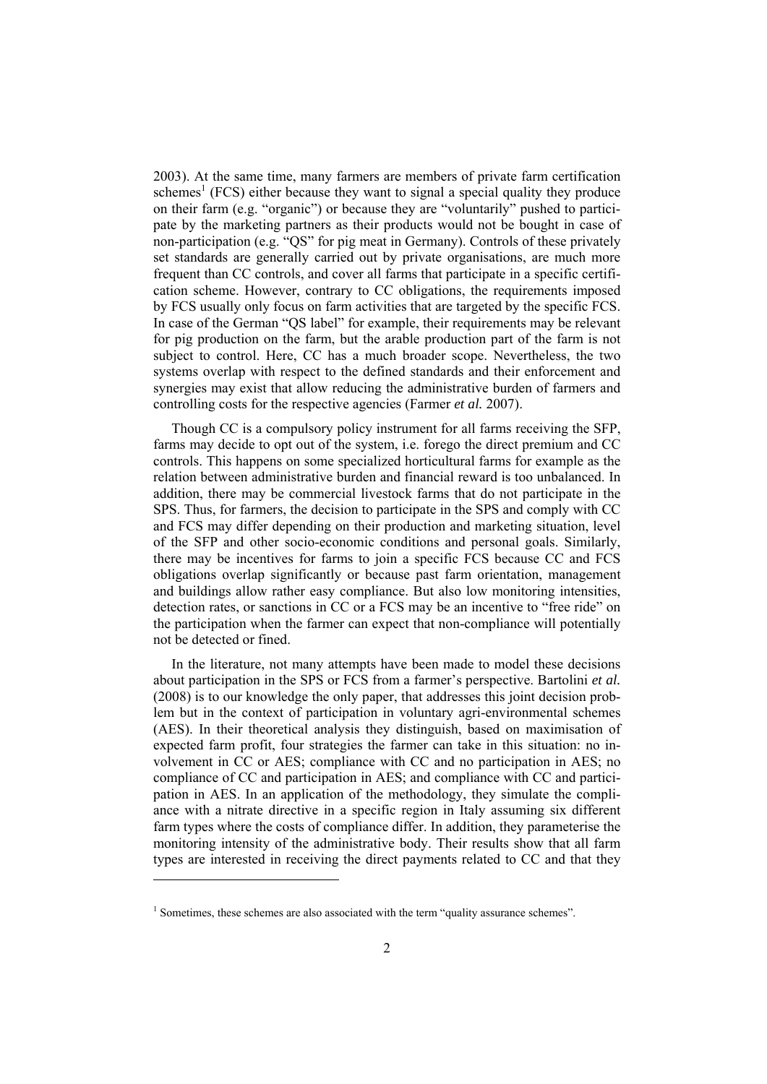2003). At the same time, many farmers are members of private farm certification schemes<sup>1</sup> (FCS) either because they want to signal a special quality they produce on their farm (e.g. "organic") or because they are "voluntarily" pushed to participate by the marketing partners as their products would not be bought in case of non-participation (e.g. "QS" for pig meat in Germany). Controls of these privately set standards are generally carried out by private organisations, are much more frequent than CC controls, and cover all farms that participate in a specific certification scheme. However, contrary to CC obligations, the requirements imposed by FCS usually only focus on farm activities that are targeted by the specific FCS. In case of the German "QS label" for example, their requirements may be relevant for pig production on the farm, but the arable production part of the farm is not subject to control. Here, CC has a much broader scope. Nevertheless, the two systems overlap with respect to the defined standards and their enforcement and synergies may exist that allow reducing the administrative burden of farmers and controlling costs for the respective agencies (Farmer *et al.* 2007).

Though CC is a compulsory policy instrument for all farms receiving the SFP, farms may decide to opt out of the system, i.e. forego the direct premium and CC controls. This happens on some specialized horticultural farms for example as the relation between administrative burden and financial reward is too unbalanced. In addition, there may be commercial livestock farms that do not participate in the SPS. Thus, for farmers, the decision to participate in the SPS and comply with CC and FCS may differ depending on their production and marketing situation, level of the SFP and other socio-economic conditions and personal goals. Similarly, there may be incentives for farms to join a specific FCS because CC and FCS obligations overlap significantly or because past farm orientation, management and buildings allow rather easy compliance. But also low monitoring intensities, detection rates, or sanctions in CC or a FCS may be an incentive to "free ride" on the participation when the farmer can expect that non-compliance will potentially not be detected or fined.

In the literature, not many attempts have been made to model these decisions about participation in the SPS or FCS from a farmer's perspective. Bartolini *et al.* (2008) is to our knowledge the only paper, that addresses this joint decision problem but in the context of participation in voluntary agri-environmental schemes (AES). In their theoretical analysis they distinguish, based on maximisation of expected farm profit, four strategies the farmer can take in this situation: no involvement in CC or AES; compliance with CC and no participation in AES; no compliance of CC and participation in AES; and compliance with CC and participation in AES. In an application of the methodology, they simulate the compliance with a nitrate directive in a specific region in Italy assuming six different farm types where the costs of compliance differ. In addition, they parameterise the monitoring intensity of the administrative body. Their results show that all farm types are interested in receiving the direct payments related to CC and that they

l

<sup>&</sup>lt;sup>1</sup> Sometimes, these schemes are also associated with the term "quality assurance schemes".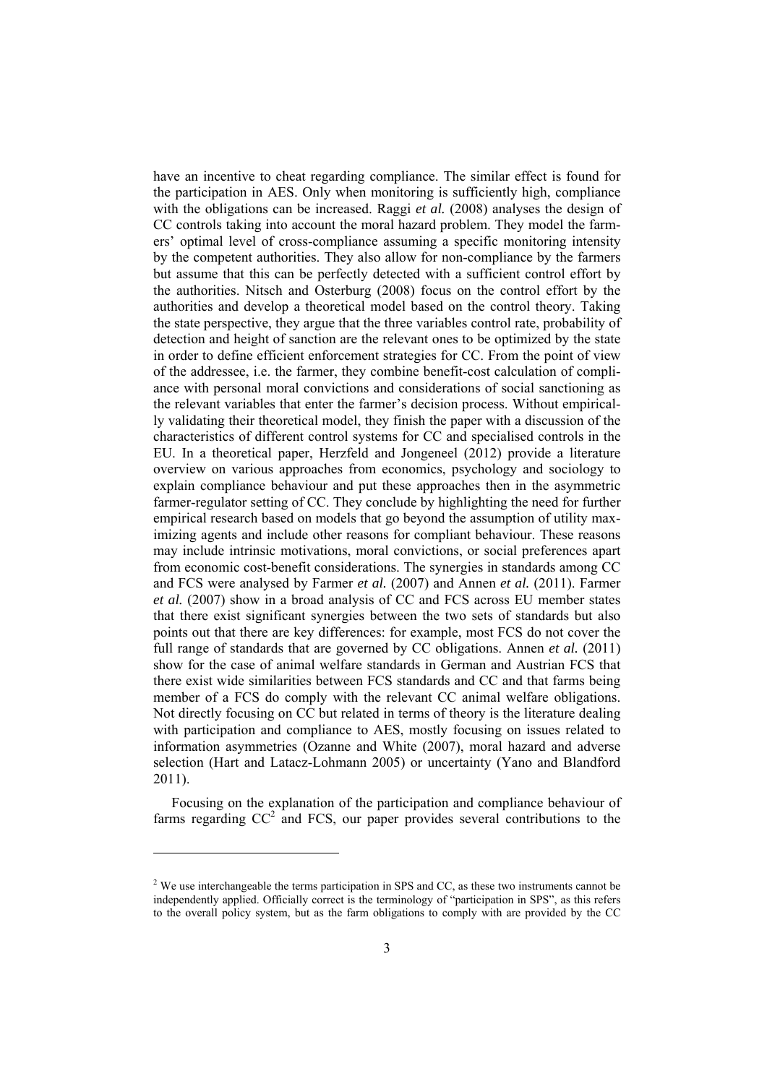have an incentive to cheat regarding compliance. The similar effect is found for the participation in AES. Only when monitoring is sufficiently high, compliance with the obligations can be increased. Raggi *et al.* (2008) analyses the design of CC controls taking into account the moral hazard problem. They model the farmers' optimal level of cross-compliance assuming a specific monitoring intensity by the competent authorities. They also allow for non-compliance by the farmers but assume that this can be perfectly detected with a sufficient control effort by the authorities. Nitsch and Osterburg (2008) focus on the control effort by the authorities and develop a theoretical model based on the control theory. Taking the state perspective, they argue that the three variables control rate, probability of detection and height of sanction are the relevant ones to be optimized by the state in order to define efficient enforcement strategies for CC. From the point of view of the addressee, i.e. the farmer, they combine benefit-cost calculation of compliance with personal moral convictions and considerations of social sanctioning as the relevant variables that enter the farmer's decision process. Without empirically validating their theoretical model, they finish the paper with a discussion of the characteristics of different control systems for CC and specialised controls in the EU. In a theoretical paper, Herzfeld and Jongeneel (2012) provide a literature overview on various approaches from economics, psychology and sociology to explain compliance behaviour and put these approaches then in the asymmetric farmer-regulator setting of CC. They conclude by highlighting the need for further empirical research based on models that go beyond the assumption of utility maximizing agents and include other reasons for compliant behaviour. These reasons may include intrinsic motivations, moral convictions, or social preferences apart from economic cost-benefit considerations. The synergies in standards among CC and FCS were analysed by Farmer *et al.* (2007) and Annen *et al.* (2011). Farmer *et al.* (2007) show in a broad analysis of CC and FCS across EU member states that there exist significant synergies between the two sets of standards but also points out that there are key differences: for example, most FCS do not cover the full range of standards that are governed by CC obligations. Annen *et al.* (2011) show for the case of animal welfare standards in German and Austrian FCS that there exist wide similarities between FCS standards and CC and that farms being member of a FCS do comply with the relevant CC animal welfare obligations. Not directly focusing on CC but related in terms of theory is the literature dealing with participation and compliance to AES, mostly focusing on issues related to information asymmetries (Ozanne and White (2007), moral hazard and adverse selection (Hart and Latacz-Lohmann 2005) or uncertainty (Yano and Blandford 2011).

Focusing on the explanation of the participation and compliance behaviour of farms regarding  $CC^2$  and FCS, our paper provides several contributions to the

 $\overline{\phantom{a}}$ 

 $2$  We use interchangeable the terms participation in SPS and CC, as these two instruments cannot be independently applied. Officially correct is the terminology of "participation in SPS", as this refers to the overall policy system, but as the farm obligations to comply with are provided by the CC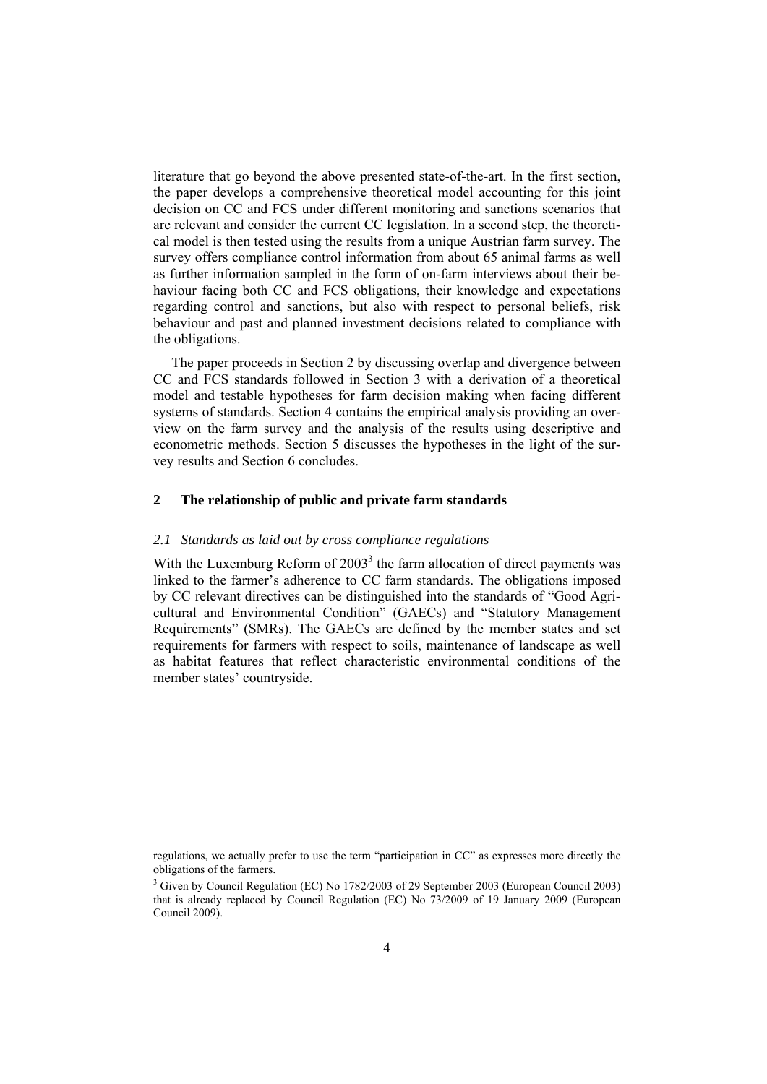literature that go beyond the above presented state-of-the-art. In the first section, the paper develops a comprehensive theoretical model accounting for this joint decision on CC and FCS under different monitoring and sanctions scenarios that are relevant and consider the current CC legislation. In a second step, the theoretical model is then tested using the results from a unique Austrian farm survey. The survey offers compliance control information from about 65 animal farms as well as further information sampled in the form of on-farm interviews about their behaviour facing both CC and FCS obligations, their knowledge and expectations regarding control and sanctions, but also with respect to personal beliefs, risk behaviour and past and planned investment decisions related to compliance with the obligations.

The paper proceeds in Section 2 by discussing overlap and divergence between CC and FCS standards followed in Section 3 with a derivation of a theoretical model and testable hypotheses for farm decision making when facing different systems of standards. Section 4 contains the empirical analysis providing an overview on the farm survey and the analysis of the results using descriptive and econometric methods. Section 5 discusses the hypotheses in the light of the survey results and Section 6 concludes.

# **2 The relationship of public and private farm standards**

#### *2.1 Standards as laid out by cross compliance regulations*

With the Luxemburg Reform of  $2003<sup>3</sup>$  the farm allocation of direct payments was linked to the farmer's adherence to CC farm standards. The obligations imposed by CC relevant directives can be distinguished into the standards of "Good Agricultural and Environmental Condition" (GAECs) and "Statutory Management Requirements" (SMRs). The GAECs are defined by the member states and set requirements for farmers with respect to soils, maintenance of landscape as well as habitat features that reflect characteristic environmental conditions of the member states' countryside.

regulations, we actually prefer to use the term "participation in CC" as expresses more directly the obligations of the farmers.

<sup>&</sup>lt;sup>3</sup> Given by Council Regulation (EC) No 1782/2003 of 29 September 2003 (European Council 2003) that is already replaced by Council Regulation (EC) No 73/2009 of 19 January 2009 (European Council 2009).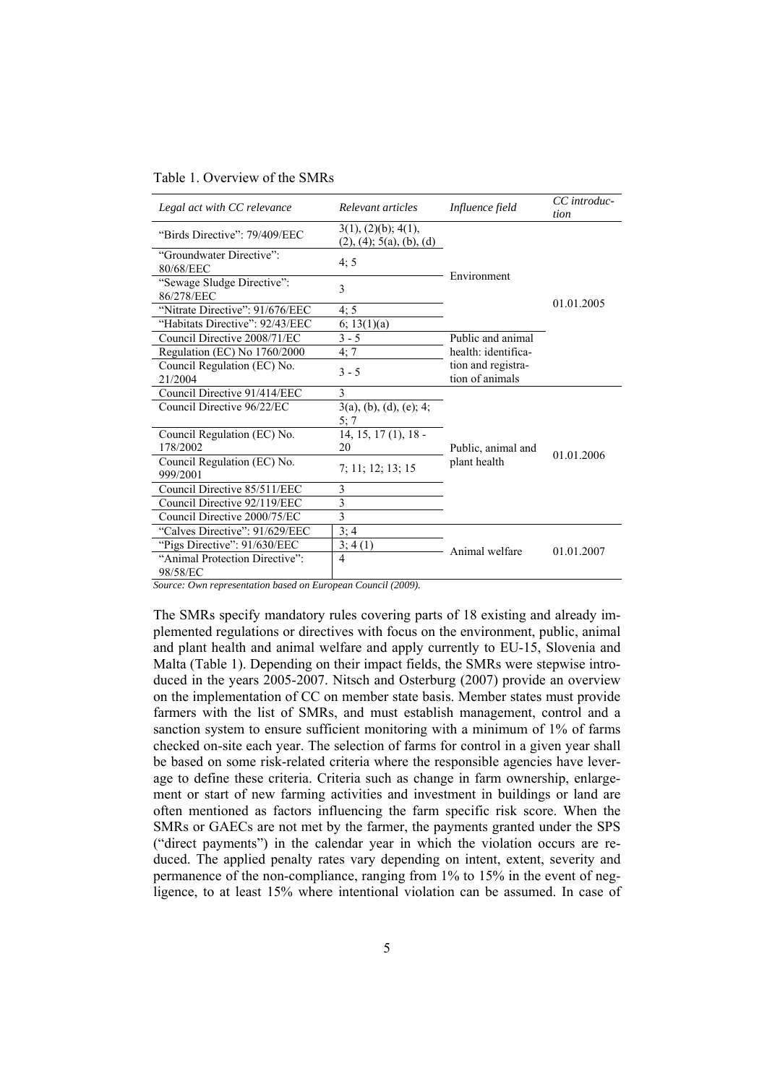Table 1. Overview of the SMRs

| Legal act with CC relevance              | Relevant articles                               | Influence field     | CC introduc-<br>tion |
|------------------------------------------|-------------------------------------------------|---------------------|----------------------|
| "Birds Directive": 79/409/EEC            | 3(1), (2)(b); 4(1),<br>(2), (4); 5(a), (b), (d) |                     |                      |
| "Groundwater Directive":<br>80/68/EEC    | 4; 5                                            | Environment         |                      |
| "Sewage Sludge Directive":<br>86/278/EEC | 3                                               |                     |                      |
| "Nitrate Directive": 91/676/EEC          | 4:5                                             |                     | 01.01.2005           |
| "Habitats Directive": 92/43/EEC          | 6; 13(1)(a)                                     |                     |                      |
| Council Directive 2008/71/EC             | $3 - 5$                                         | Public and animal   |                      |
| Regulation (EC) No 1760/2000             | 4; 7                                            | health: identifica- |                      |
| Council Regulation (EC) No.              | $3 - 5$                                         | tion and registra-  |                      |
| 21/2004                                  |                                                 | tion of animals     |                      |
| Council Directive 91/414/EEC             | 3                                               |                     |                      |
| Council Directive 96/22/EC               | $3(a)$ , (b), (d), (e); 4;<br>5:7               |                     |                      |
| Council Regulation (EC) No.              | $14, 15, 17(1), 18$ -                           |                     |                      |
| 178/2002                                 | 20                                              | Public, animal and  | 01.01.2006           |
| Council Regulation (EC) No.<br>999/2001  | 7; 11; 12; 13; 15                               | plant health        |                      |
| Council Directive 85/511/EEC             | 3                                               |                     |                      |
| Council Directive 92/119/EEC             | 3                                               |                     |                      |
| Council Directive 2000/75/EC             | 3                                               |                     |                      |
| "Calves Directive": 91/629/EEC           | 3;4                                             |                     |                      |
| "Pigs Directive": 91/630/EEC             | 3; 4(1)                                         | Animal welfare      | 01.01.2007           |
| "Animal Protection Directive":           | $\overline{4}$                                  |                     |                      |
| 98/58/EC                                 |                                                 |                     |                      |

*Source: Own representation based on European Council (2009).* 

The SMRs specify mandatory rules covering parts of 18 existing and already implemented regulations or directives with focus on the environment, public, animal and plant health and animal welfare and apply currently to EU-15, Slovenia and Malta (Table 1). Depending on their impact fields, the SMRs were stepwise introduced in the years 2005-2007. Nitsch and Osterburg (2007) provide an overview on the implementation of CC on member state basis. Member states must provide farmers with the list of SMRs, and must establish management, control and a sanction system to ensure sufficient monitoring with a minimum of 1% of farms checked on-site each year. The selection of farms for control in a given year shall be based on some risk-related criteria where the responsible agencies have leverage to define these criteria. Criteria such as change in farm ownership, enlargement or start of new farming activities and investment in buildings or land are often mentioned as factors influencing the farm specific risk score. When the SMRs or GAECs are not met by the farmer, the payments granted under the SPS ("direct payments") in the calendar year in which the violation occurs are reduced. The applied penalty rates vary depending on intent, extent, severity and permanence of the non-compliance, ranging from 1% to 15% in the event of negligence, to at least 15% where intentional violation can be assumed. In case of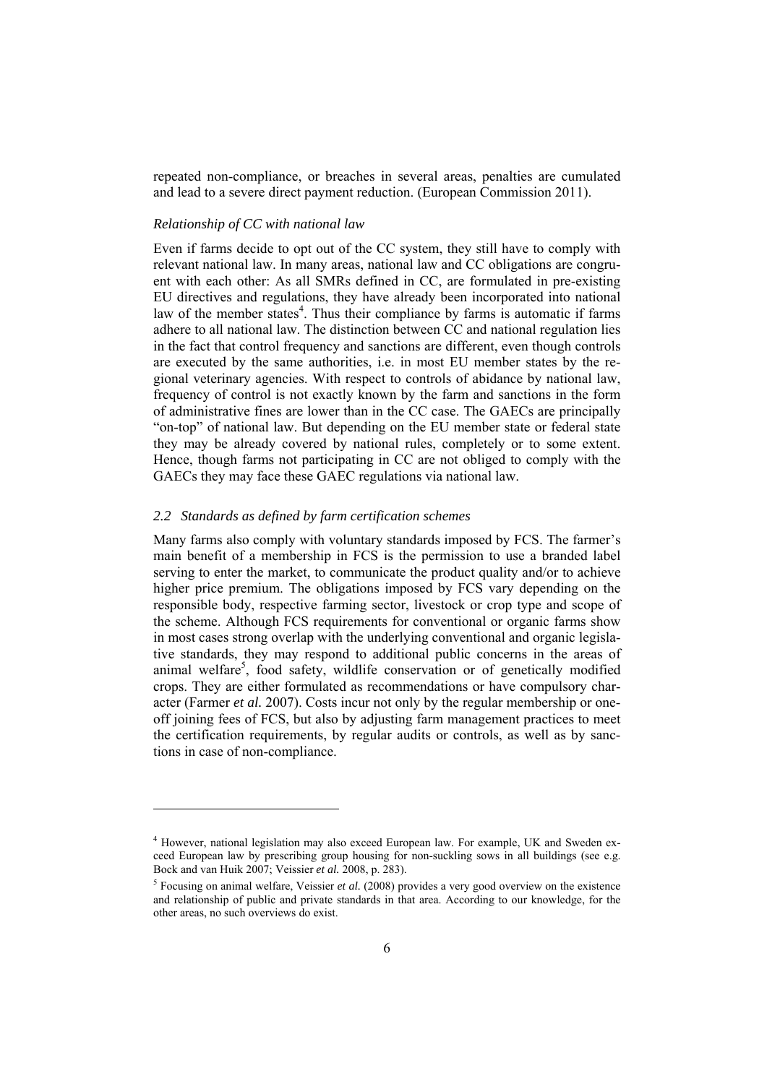repeated non-compliance, or breaches in several areas, penalties are cumulated and lead to a severe direct payment reduction. (European Commission 2011).

# *Relationship of CC with national law*

Even if farms decide to opt out of the CC system, they still have to comply with relevant national law. In many areas, national law and CC obligations are congruent with each other: As all SMRs defined in CC, are formulated in pre-existing EU directives and regulations, they have already been incorporated into national law of the member states<sup>4</sup>. Thus their compliance by farms is automatic if farms adhere to all national law. The distinction between CC and national regulation lies in the fact that control frequency and sanctions are different, even though controls are executed by the same authorities, i.e. in most EU member states by the regional veterinary agencies. With respect to controls of abidance by national law, frequency of control is not exactly known by the farm and sanctions in the form of administrative fines are lower than in the CC case. The GAECs are principally "on-top" of national law. But depending on the EU member state or federal state they may be already covered by national rules, completely or to some extent. Hence, though farms not participating in CC are not obliged to comply with the GAECs they may face these GAEC regulations via national law.

# *2.2 Standards as defined by farm certification schemes*

 $\overline{\phantom{a}}$ 

Many farms also comply with voluntary standards imposed by FCS. The farmer's main benefit of a membership in FCS is the permission to use a branded label serving to enter the market, to communicate the product quality and/or to achieve higher price premium. The obligations imposed by FCS vary depending on the responsible body, respective farming sector, livestock or crop type and scope of the scheme. Although FCS requirements for conventional or organic farms show in most cases strong overlap with the underlying conventional and organic legislative standards, they may respond to additional public concerns in the areas of animal welfare<sup>5</sup>, food safety, wildlife conservation or of genetically modified crops. They are either formulated as recommendations or have compulsory character (Farmer *et al.* 2007). Costs incur not only by the regular membership or oneoff joining fees of FCS, but also by adjusting farm management practices to meet the certification requirements, by regular audits or controls, as well as by sanctions in case of non-compliance.

<sup>&</sup>lt;sup>4</sup> However, national legislation may also exceed European law. For example, UK and Sweden exceed European law by prescribing group housing for non-suckling sows in all buildings (see e.g. Bock and van Huik 2007; Veissier *et al.* 2008, p. 283).

<sup>&</sup>lt;sup>5</sup> Focusing on animal welfare, Veissier *et al.* (2008) provides a very good overview on the existence and relationship of public and private standards in that area. According to our knowledge, for the other areas, no such overviews do exist.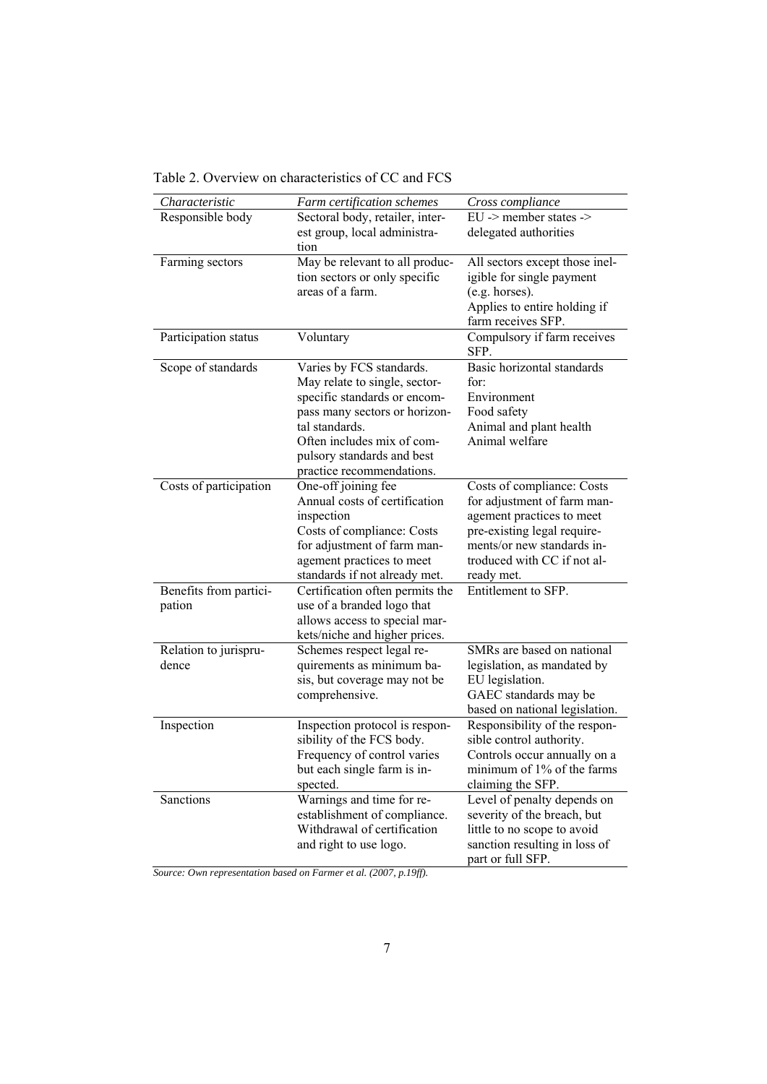| Characteristic                 | Farm certification schemes                                 | Cross compliance                             |
|--------------------------------|------------------------------------------------------------|----------------------------------------------|
| Responsible body               | Sectoral body, retailer, inter-                            | $EU \rightarrow$ member states $\rightarrow$ |
|                                | est group, local administra-                               | delegated authorities                        |
|                                | tion                                                       |                                              |
| Farming sectors                | May be relevant to all produc-                             | All sectors except those inel-               |
|                                | tion sectors or only specific                              | igible for single payment                    |
|                                | areas of a farm.                                           | (e.g. horses).                               |
|                                |                                                            | Applies to entire holding if                 |
|                                |                                                            | farm receives SFP.                           |
| Participation status           | Voluntary                                                  | Compulsory if farm receives<br>SFP.          |
| Scope of standards             | Varies by FCS standards.                                   | Basic horizontal standards                   |
|                                | May relate to single, sector-                              | for:                                         |
|                                | specific standards or encom-                               | Environment                                  |
|                                | pass many sectors or horizon-                              | Food safety                                  |
|                                | tal standards.                                             | Animal and plant health                      |
|                                | Often includes mix of com-                                 | Animal welfare                               |
|                                | pulsory standards and best                                 |                                              |
|                                | practice recommendations.                                  |                                              |
| Costs of participation         | One-off joining fee                                        | Costs of compliance: Costs                   |
|                                | Annual costs of certification                              | for adjustment of farm man-                  |
|                                | inspection                                                 | agement practices to meet                    |
|                                | Costs of compliance: Costs                                 | pre-existing legal require-                  |
|                                | for adjustment of farm man-                                | ments/or new standards in-                   |
|                                | agement practices to meet                                  | troduced with CC if not al-                  |
|                                | standards if not already met.                              | ready met.                                   |
| Benefits from partici-         | Certification often permits the                            | Entitlement to SFP.                          |
| pation                         | use of a branded logo that                                 |                                              |
|                                | allows access to special mar-                              |                                              |
|                                |                                                            |                                              |
|                                | kets/niche and higher prices.<br>Schemes respect legal re- | SMRs are based on national                   |
| Relation to jurispru-<br>dence | quirements as minimum ba-                                  |                                              |
|                                |                                                            | legislation, as mandated by                  |
|                                | sis, but coverage may not be                               | EU legislation.                              |
|                                | comprehensive.                                             | GAEC standards may be                        |
|                                |                                                            | based on national legislation.               |
| Inspection                     | Inspection protocol is respon-                             | Responsibility of the respon-                |
|                                | sibility of the FCS body.                                  | sible control authority.                     |
|                                | Frequency of control varies                                | Controls occur annually on a                 |
|                                | but each single farm is in-                                | minimum of 1% of the farms                   |
|                                | spected.                                                   | claiming the SFP.                            |
| Sanctions                      | Warnings and time for re-                                  | Level of penalty depends on                  |
|                                | establishment of compliance.                               | severity of the breach, but                  |
|                                | Withdrawal of certification                                | little to no scope to avoid                  |
|                                | and right to use logo.                                     | sanction resulting in loss of                |
|                                |                                                            | part or full SFP.                            |

Table 2. Overview on characteristics of CC and FCS

*Source: Own representation based on Farmer et al. (2007, p.19ff).*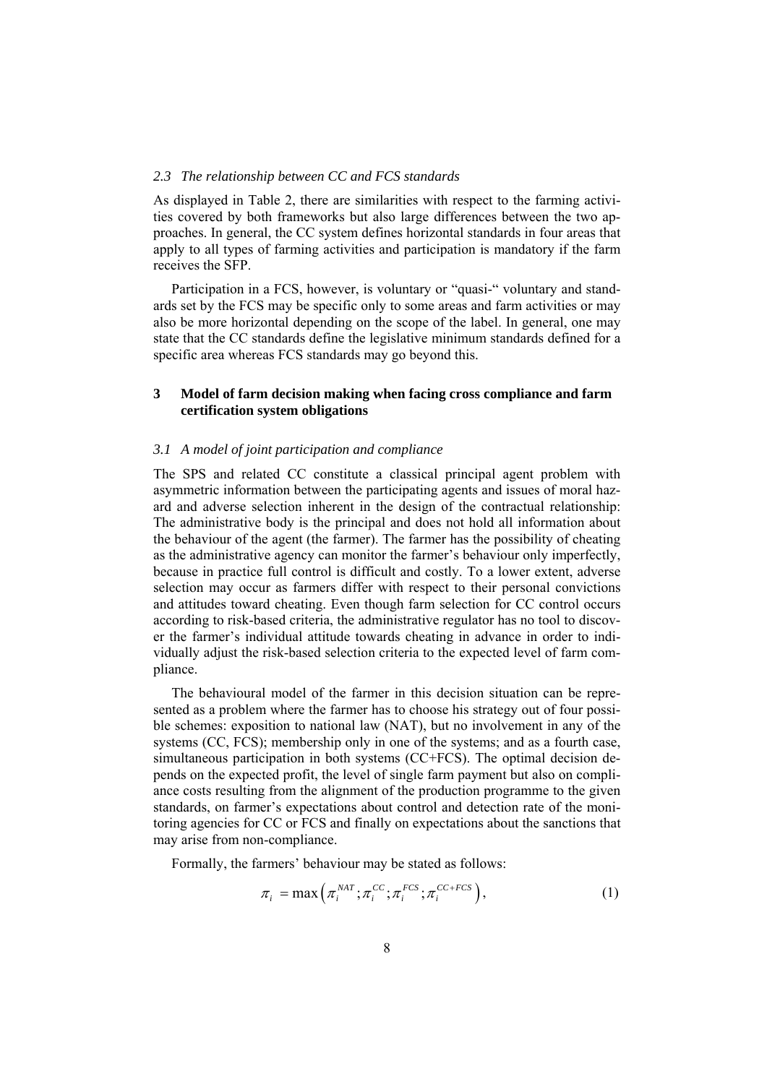## *2.3 The relationship between CC and FCS standards*

As displayed in Table 2, there are similarities with respect to the farming activities covered by both frameworks but also large differences between the two approaches. In general, the CC system defines horizontal standards in four areas that apply to all types of farming activities and participation is mandatory if the farm receives the SFP.

Participation in a FCS, however, is voluntary or "quasi-" voluntary and standards set by the FCS may be specific only to some areas and farm activities or may also be more horizontal depending on the scope of the label. In general, one may state that the CC standards define the legislative minimum standards defined for a specific area whereas FCS standards may go beyond this.

# **3 Model of farm decision making when facing cross compliance and farm certification system obligations**

## *3.1 A model of joint participation and compliance*

The SPS and related CC constitute a classical principal agent problem with asymmetric information between the participating agents and issues of moral hazard and adverse selection inherent in the design of the contractual relationship: The administrative body is the principal and does not hold all information about the behaviour of the agent (the farmer). The farmer has the possibility of cheating as the administrative agency can monitor the farmer's behaviour only imperfectly, because in practice full control is difficult and costly. To a lower extent, adverse selection may occur as farmers differ with respect to their personal convictions and attitudes toward cheating. Even though farm selection for CC control occurs according to risk-based criteria, the administrative regulator has no tool to discover the farmer's individual attitude towards cheating in advance in order to individually adjust the risk-based selection criteria to the expected level of farm compliance.

The behavioural model of the farmer in this decision situation can be represented as a problem where the farmer has to choose his strategy out of four possible schemes: exposition to national law (NAT), but no involvement in any of the systems (CC, FCS); membership only in one of the systems; and as a fourth case, simultaneous participation in both systems (CC+FCS). The optimal decision depends on the expected profit, the level of single farm payment but also on compliance costs resulting from the alignment of the production programme to the given standards, on farmer's expectations about control and detection rate of the monitoring agencies for CC or FCS and finally on expectations about the sanctions that may arise from non-compliance.

Formally, the farmers' behaviour may be stated as follows:

$$
\pi_i = \max\left(\pi_i^{\text{NAT}}; \pi_i^{\text{CC}}; \pi_i^{\text{FCS}}; \pi_i^{\text{CC}+\text{FCS}}\right),\tag{1}
$$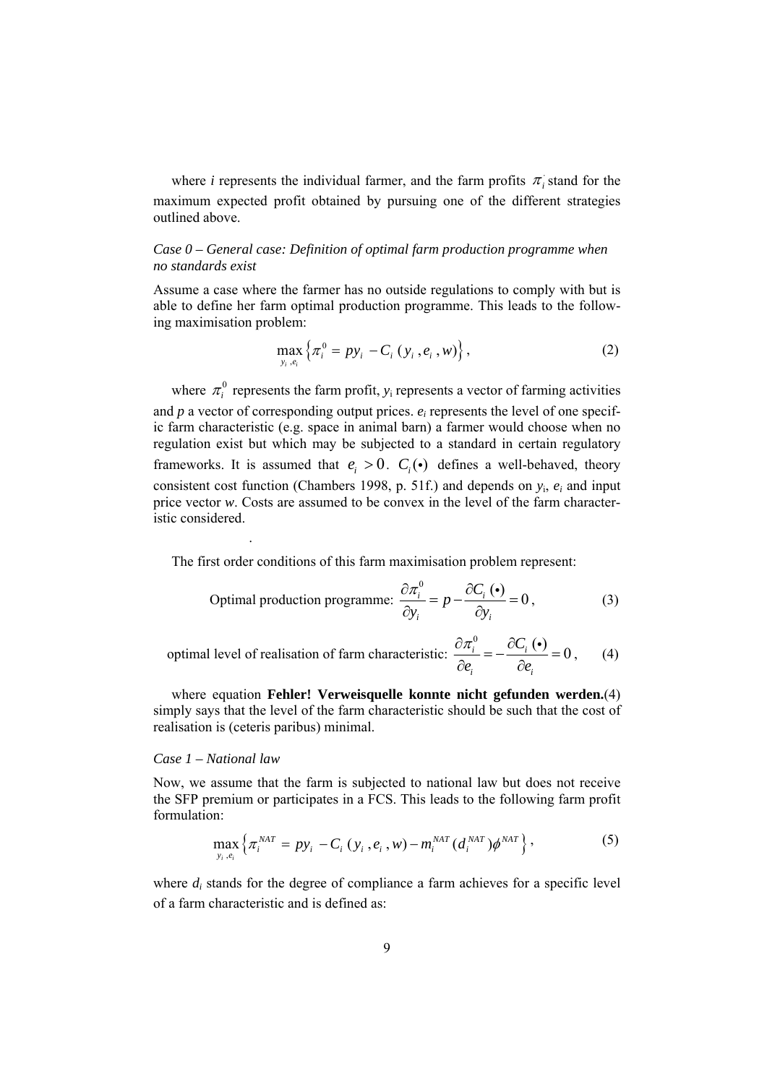where *i* represents the individual farmer, and the farm profits  $\pi$ <sub>i</sub> stand for the maximum expected profit obtained by pursuing one of the different strategies outlined above.

# *Case 0 – General case: Definition of optimal farm production programme when no standards exist*

Assume a case where the farmer has no outside regulations to comply with but is able to define her farm optimal production programme. This leads to the following maximisation problem:

$$
\max_{y_i, e_i} \left\{ \pi_i^0 = p y_i - C_i (y_i, e_i, w) \right\},\tag{2}
$$

where  $\pi_i^0$  represents the farm profit,  $y_i$  represents a vector of farming activities and *p* a vector of corresponding output prices. *ei* represents the level of one specific farm characteristic (e.g. space in animal barn) a farmer would choose when no regulation exist but which may be subjected to a standard in certain regulatory frameworks. It is assumed that  $e_i > 0$ .  $C_i(\bullet)$  defines a well-behaved, theory consistent cost function (Chambers 1998, p. 51f.) and depends on  $y_i$ ,  $e_i$  and input price vector *w*. Costs are assumed to be convex in the level of the farm characteristic considered.

The first order conditions of this farm maximisation problem represent:

Optimal production programme: 
$$
\frac{\partial \pi_i^0}{\partial y_i} = p - \frac{\partial C_i(\bullet)}{\partial y_i} = 0
$$
, (3)

optimal level of realisation of farm characteristic: 
$$
\frac{\partial \pi_i^0}{\partial e_i} = -\frac{\partial C_i(\bullet)}{\partial e_i} = 0, \qquad (4)
$$

where equation **Fehler! Verweisquelle konnte nicht gefunden werden.**(4) simply says that the level of the farm characteristic should be such that the cost of realisation is (ceteris paribus) minimal.

#### *Case 1 – National law*

.

Now, we assume that the farm is subjected to national law but does not receive the SFP premium or participates in a FCS. This leads to the following farm profit formulation:

$$
\max_{y_i, e_i} \left\{ \pi_i^{NAT} = p y_i - C_i (y_i, e_i, w) - m_i^{NAT} (d_i^{NAT}) \phi^{NAT} \right\},
$$
 (5)

where  $d_i$  stands for the degree of compliance a farm achieves for a specific level of a farm characteristic and is defined as: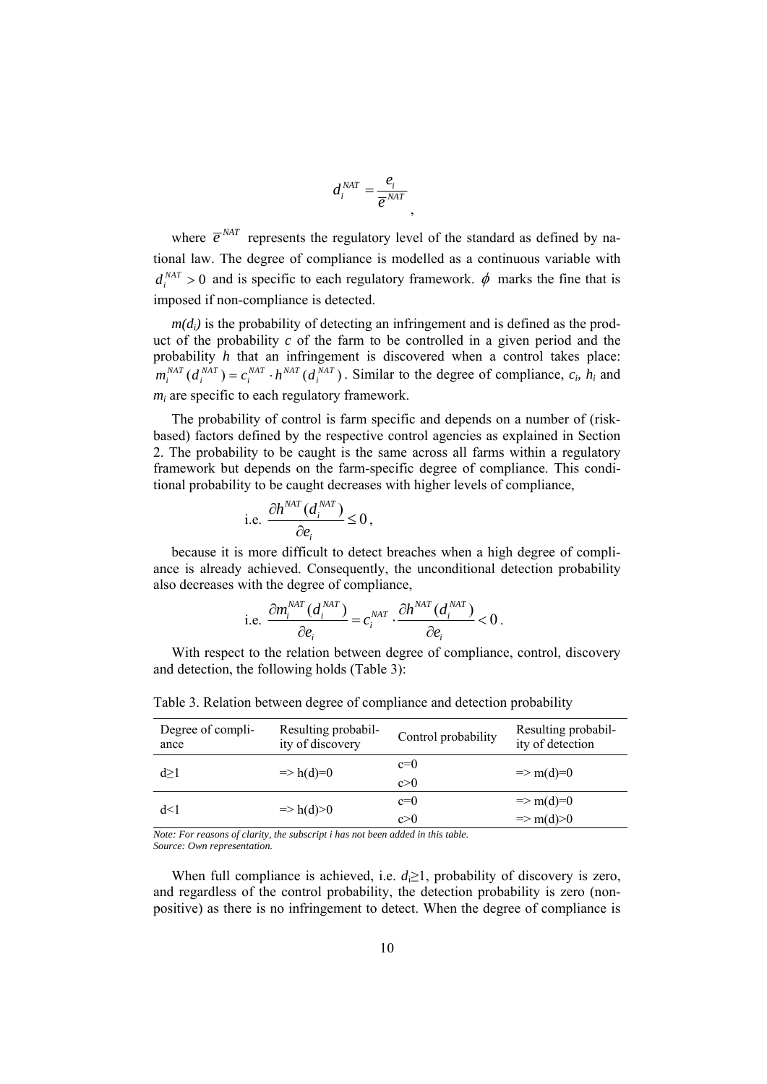$$
d_i^{NAT} = \frac{e_i}{\overline{e}^{NAT}},
$$

where  $\overline{e}^{NAT}$  represents the regulatory level of the standard as defined by national law. The degree of compliance is modelled as a continuous variable with  $d_i^{MAT} > 0$  and is specific to each regulatory framework.  $\phi$  marks the fine that is imposed if non-compliance is detected.

 $m(d_i)$  is the probability of detecting an infringement and is defined as the product of the probability *c* of the farm to be controlled in a given period and the probability *h* that an infringement is discovered when a control takes place:  $m_i^{MAT}$   $(d_i^{NAT}) = c_i^{NAT} \cdot h^{NAT}(d_i^{NAT})$ . Similar to the degree of compliance,  $c_i$ ,  $h_i$  and *mi* are specific to each regulatory framework.

The probability of control is farm specific and depends on a number of (riskbased) factors defined by the respective control agencies as explained in Section 2. The probability to be caught is the same across all farms within a regulatory framework but depends on the farm-specific degree of compliance. This conditional probability to be caught decreases with higher levels of compliance,

i.e. 
$$
\frac{\partial h^{NAT}(d_i^{NAT})}{\partial e_i} \leq 0,
$$

because it is more difficult to detect breaches when a high degree of compliance is already achieved. Consequently, the unconditional detection probability also decreases with the degree of compliance,

i.e. 
$$
\frac{\partial m_i^{NAT}(d_i^{NAT})}{\partial e_i} = c_i^{NAT} \cdot \frac{\partial h^{NAT}(d_i^{NAT})}{\partial e_i} < 0.
$$

With respect to the relation between degree of compliance, control, discovery and detection, the following holds (Table 3):

| Degree of compli-<br>ance | Resulting probabil-<br>ity of discovery | Control probability | Resulting probabil-<br>ity of detection |
|---------------------------|-----------------------------------------|---------------------|-----------------------------------------|
| d > 1                     | $\Rightarrow$ h(d)=0                    | $c=0$<br>c>0        | $\Rightarrow$ m(d)=0                    |
| d<1                       | $\Rightarrow$ h(d) > 0                  | $c=0$               | $\Rightarrow$ m(d)=0                    |
|                           |                                         | c>0                 | $\Rightarrow$ m(d) > 0                  |

Table 3. Relation between degree of compliance and detection probability

*Note: For reasons of clarity, the subscript i has not been added in this table. Source: Own representation.* 

When full compliance is achieved, i.e.  $d \geq 1$ , probability of discovery is zero, and regardless of the control probability, the detection probability is zero (nonpositive) as there is no infringement to detect. When the degree of compliance is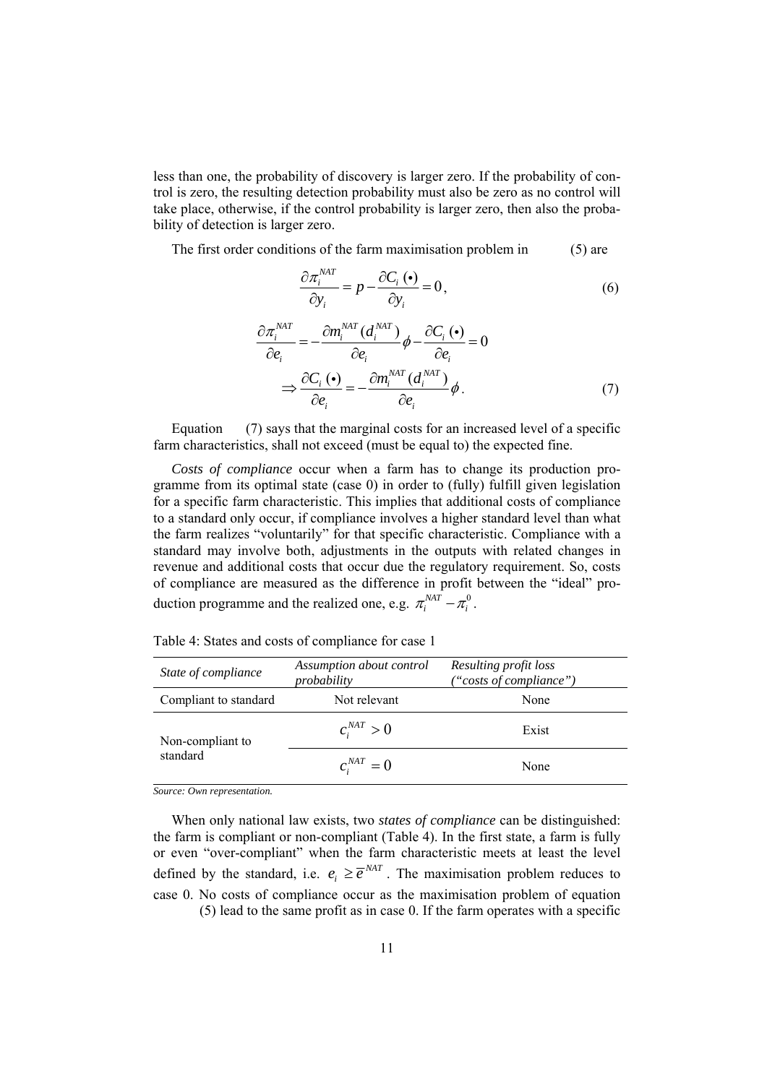less than one, the probability of discovery is larger zero. If the probability of control is zero, the resulting detection probability must also be zero as no control will take place, otherwise, if the control probability is larger zero, then also the probability of detection is larger zero.

The first order conditions of the farm maximisation problem in (5) are

$$
\frac{\partial \pi_i^{NAT}}{\partial y_i} = p - \frac{\partial C_i (\bullet)}{\partial y_i} = 0, \tag{6}
$$

$$
\frac{\partial \pi_i^{NAT}}{\partial e_i} = -\frac{\partial m_i^{NAT} (d_i^{NAT})}{\partial e_i} \phi - \frac{\partial C_i (\bullet)}{\partial e_i} = 0
$$

$$
\Rightarrow \frac{\partial C_i (\bullet)}{\partial e_i} = -\frac{\partial m_i^{NAT} (d_i^{NAT})}{\partial e_i} \phi . \tag{7}
$$

Equation (7) says that the marginal costs for an increased level of a specific farm characteristics, shall not exceed (must be equal to) the expected fine.

*Costs of compliance* occur when a farm has to change its production programme from its optimal state (case 0) in order to (fully) fulfill given legislation for a specific farm characteristic. This implies that additional costs of compliance to a standard only occur, if compliance involves a higher standard level than what the farm realizes "voluntarily" for that specific characteristic. Compliance with a standard may involve both, adjustments in the outputs with related changes in revenue and additional costs that occur due the regulatory requirement. So, costs of compliance are measured as the difference in profit between the "ideal" production programme and the realized one, e.g.  $\pi_i^{NAT} - \pi_i^0$ .

| State of compliance   | Assumption about control<br>probability | Resulting profit loss<br>"costs of compliance") |  |
|-----------------------|-----------------------------------------|-------------------------------------------------|--|
| Compliant to standard | Not relevant                            | None                                            |  |
| Non-compliant to      | $c_i^{NAT} > 0$                         | Exist                                           |  |
| standard              | $c_i^{NAT}=0$                           | None                                            |  |

Table 4: States and costs of compliance for case 1

*Source: Own representation.* 

When only national law exists, two *states of compliance* can be distinguished: the farm is compliant or non-compliant (Table 4). In the first state, a farm is fully or even "over-compliant" when the farm characteristic meets at least the level defined by the standard, i.e.  $e_i \geq \overline{e}^{NAT}$ . The maximisation problem reduces to case 0. No costs of compliance occur as the maximisation problem of equation (5) lead to the same profit as in case 0. If the farm operates with a specific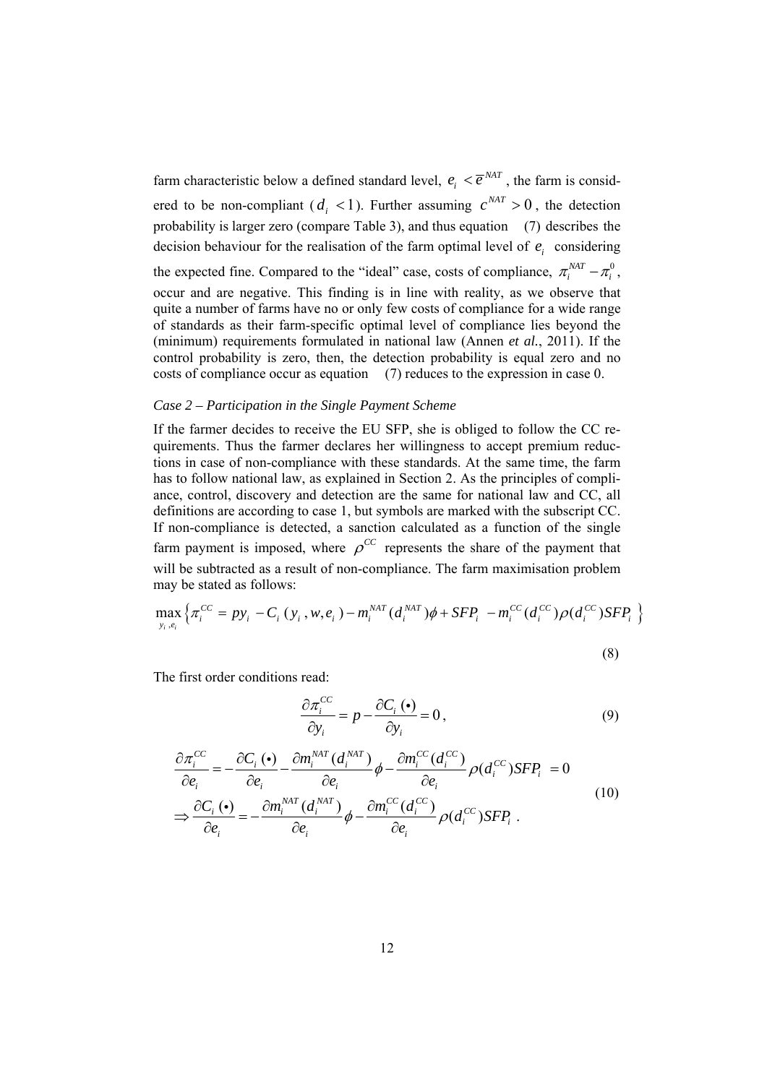farm characteristic below a defined standard level,  $e_i < \overline{e}^{NAT}$ , the farm is considered to be non-compliant ( $d_i$  < 1). Further assuming  $c^{NAT} > 0$ , the detection probability is larger zero (compare Table 3), and thus equation (7) describes the decision behaviour for the realisation of the farm optimal level of  $e_i$  considering the expected fine. Compared to the "ideal" case, costs of compliance,  $\pi_i^{MAT} - \pi_i^0$ , occur and are negative. This finding is in line with reality, as we observe that quite a number of farms have no or only few costs of compliance for a wide range of standards as their farm-specific optimal level of compliance lies beyond the (minimum) requirements formulated in national law (Annen *et al.*, 2011). If the control probability is zero, then, the detection probability is equal zero and no costs of compliance occur as equation (7) reduces to the expression in case 0.

#### *Case 2 – Participation in the Single Payment Scheme*

If the farmer decides to receive the EU SFP, she is obliged to follow the CC requirements. Thus the farmer declares her willingness to accept premium reductions in case of non-compliance with these standards. At the same time, the farm has to follow national law, as explained in Section 2. As the principles of compliance, control, discovery and detection are the same for national law and CC, all definitions are according to case 1, but symbols are marked with the subscript CC. If non-compliance is detected, a sanction calculated as a function of the single farm payment is imposed, where  $\rho^{CC}$  represents the share of the payment that will be subtracted as a result of non-compliance. The farm maximisation problem may be stated as follows:

$$
\max_{y_i, e_i} \left\{ \pi_i^{CC} = p y_i - C_i (y_i, w, e_i) - m_i^{NAT} (d_i^{NAT}) \phi + SFP_i - m_i^{CC} (d_i^{CC}) \rho (d_i^{CC}) SFP_i \right\}
$$

(8)

The first order conditions read:

$$
\frac{\partial \pi_i^{CC}}{\partial y_i} = p - \frac{\partial C_i (\bullet)}{\partial y_i} = 0, \qquad (9)
$$

$$
\frac{\partial \pi_i^{CC}}{\partial e_i} = -\frac{\partial C_i(\bullet)}{\partial e_i} - \frac{\partial m_i^{NAT}(d_i^{NAT})}{\partial e_i} \phi - \frac{\partial m_i^{CC}(d_i^{CC})}{\partial e_i} \rho(d_i^{CC}) SFP_i = 0
$$
\n
$$
\Rightarrow \frac{\partial C_i(\bullet)}{\partial e_i} = -\frac{\partial m_i^{NAT}(d_i^{NAT})}{\partial e_i} \phi - \frac{\partial m_i^{CC}(d_i^{CC})}{\partial e_i} \rho(d_i^{CC}) SFP_i .
$$
\n(10)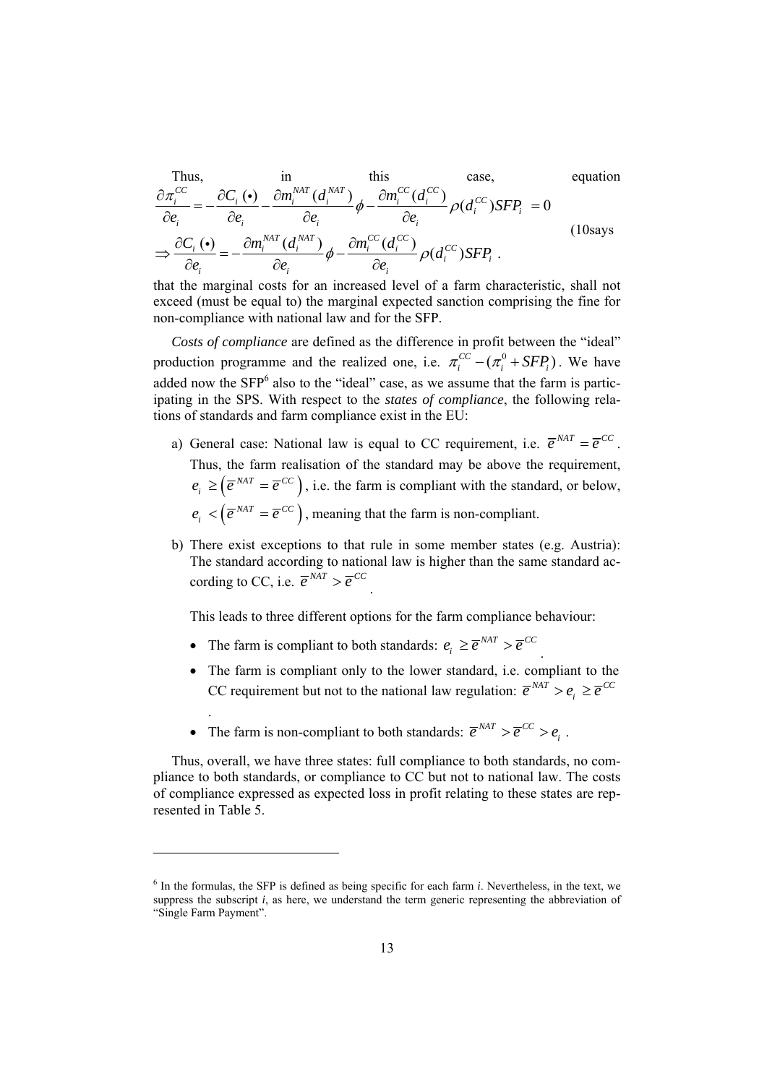Thus,  
\n
$$
\frac{\partial \pi_i^{CC}}{\partial e_i} = -\frac{\partial C_i (\bullet)}{\partial e_i} - \frac{\partial m_i^{NAT} (d_i^{NAT})}{\partial e_i} \phi - \frac{\partial m_i^{CC} (d_i^{CC})}{\partial e_i} \rho (d_i^{CC}) SFP_i = 0
$$
\n
$$
\Rightarrow \frac{\partial C_i (\bullet)}{\partial e_i} = -\frac{\partial m_i^{NAT} (d_i^{NAT})}{\partial e_i} \phi - \frac{\partial m_i^{CC} (d_i^{CC})}{\partial e_i} \rho (d_i^{CC}) SFP_i .
$$
\n(10 says

that the marginal costs for an increased level of a farm characteristic, shall not exceed (must be equal to) the marginal expected sanction comprising the fine for non-compliance with national law and for the SFP.

*Costs of compliance* are defined as the difference in profit between the "ideal" production programme and the realized one, i.e.  $\pi_i^{CC} - (\pi_i^0 + SFP_i)$ . We have added now the  $SFP<sup>6</sup>$  also to the "ideal" case, as we assume that the farm is participating in the SPS. With respect to the *states of compliance*, the following relations of standards and farm compliance exist in the EU:

- a) General case: National law is equal to CC requirement, i.e.  $\overline{e}^{NAT} = \overline{e}^{CC}$ . Thus, the farm realisation of the standard may be above the requirement,  $e_i \geq (\overline{e}^{NAT} = \overline{e}^{CC})$ , i.e. the farm is compliant with the standard, or below,  $e_i < (\overline{e}^{NAT} = \overline{e}^{CC})$ , meaning that the farm is non-compliant.
- b) There exist exceptions to that rule in some member states (e.g. Austria): The standard according to national law is higher than the same standard according to CC, i.e.  $\overline{e}^{NAT} > \overline{e}^{CC}$

This leads to three different options for the farm compliance behaviour:

• The farm is compliant to both standards:  $e_i \geq \overline{e}^{NAT} > \overline{e}^{CC}$ .

.

 $\overline{\phantom{a}}$ 

- The farm is compliant only to the lower standard, i.e. compliant to the CC requirement but not to the national law regulation:  $\overline{e}^{NAT} > e_i \geq \overline{e}^{CC}$
- The farm is non-compliant to both standards:  $\overline{e}^{NAT} > \overline{e}^{CC} > e_i$ .

Thus, overall, we have three states: full compliance to both standards, no compliance to both standards, or compliance to CC but not to national law. The costs of compliance expressed as expected loss in profit relating to these states are represented in Table 5.

 $6$  In the formulas, the SFP is defined as being specific for each farm  $i$ . Nevertheless, in the text, we suppress the subscript *i*, as here, we understand the term generic representing the abbreviation of "Single Farm Payment".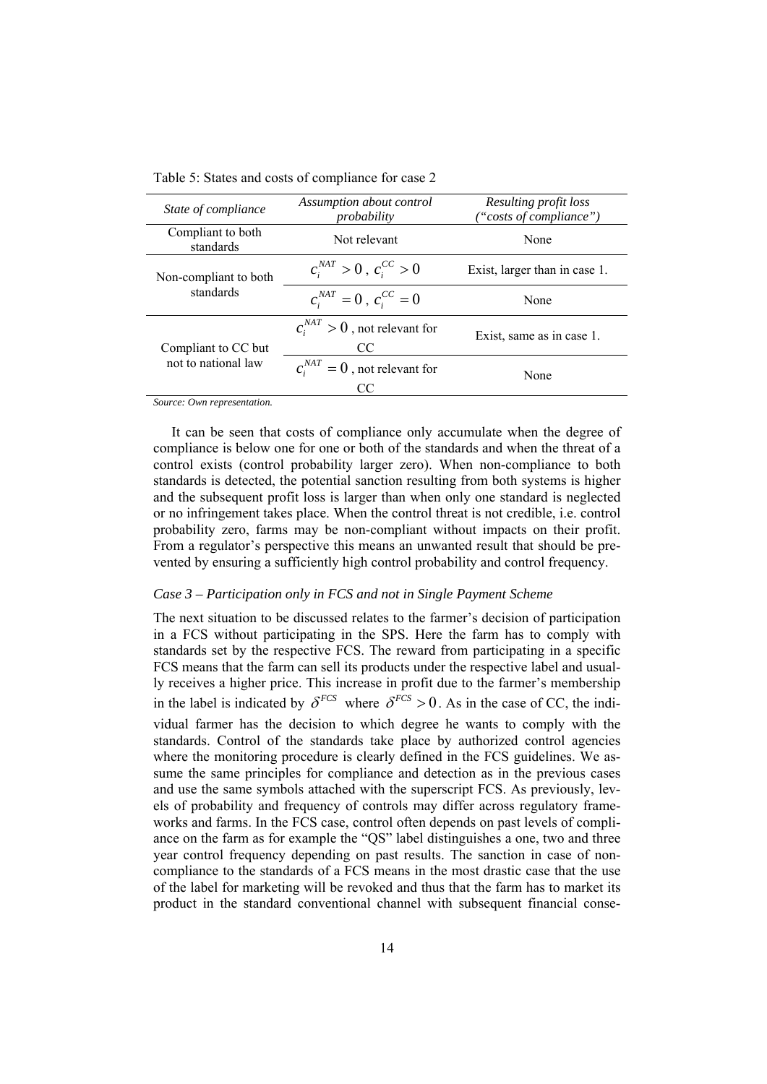| State of compliance            | Assumption about control<br>probability   | Resulting profit loss<br>"costs of compliance") |
|--------------------------------|-------------------------------------------|-------------------------------------------------|
| Compliant to both<br>standards | Not relevant                              | None                                            |
| Non-compliant to both          | $c_i^{NAT} > 0$ , $c_i^{CC} > 0$          | Exist, larger than in case 1.                   |
| standards                      | $c_i^{NAT} = 0$ , $c_i^{CC} = 0$          | None                                            |
| Compliant to CC but            | $c_i^{NAT} > 0$ , not relevant for<br>CC. | Exist, same as in case 1.                       |
| not to national law            | $c_i^{NAT} = 0$ , not relevant for<br>CC  | None                                            |

Table 5: States and costs of compliance for case 2

*Source: Own representation.* 

It can be seen that costs of compliance only accumulate when the degree of compliance is below one for one or both of the standards and when the threat of a control exists (control probability larger zero). When non-compliance to both standards is detected, the potential sanction resulting from both systems is higher and the subsequent profit loss is larger than when only one standard is neglected or no infringement takes place. When the control threat is not credible, i.e. control probability zero, farms may be non-compliant without impacts on their profit. From a regulator's perspective this means an unwanted result that should be prevented by ensuring a sufficiently high control probability and control frequency.

#### *Case 3 – Participation only in FCS and not in Single Payment Scheme*

The next situation to be discussed relates to the farmer's decision of participation in a FCS without participating in the SPS. Here the farm has to comply with standards set by the respective FCS. The reward from participating in a specific FCS means that the farm can sell its products under the respective label and usually receives a higher price. This increase in profit due to the farmer's membership in the label is indicated by  $\delta^{FCS}$  where  $\delta^{FCS} > 0$ . As in the case of CC, the individual farmer has the decision to which degree he wants to comply with the standards. Control of the standards take place by authorized control agencies where the monitoring procedure is clearly defined in the FCS guidelines. We assume the same principles for compliance and detection as in the previous cases and use the same symbols attached with the superscript FCS. As previously, levels of probability and frequency of controls may differ across regulatory frameworks and farms. In the FCS case, control often depends on past levels of compliance on the farm as for example the "QS" label distinguishes a one, two and three year control frequency depending on past results. The sanction in case of noncompliance to the standards of a FCS means in the most drastic case that the use of the label for marketing will be revoked and thus that the farm has to market its product in the standard conventional channel with subsequent financial conse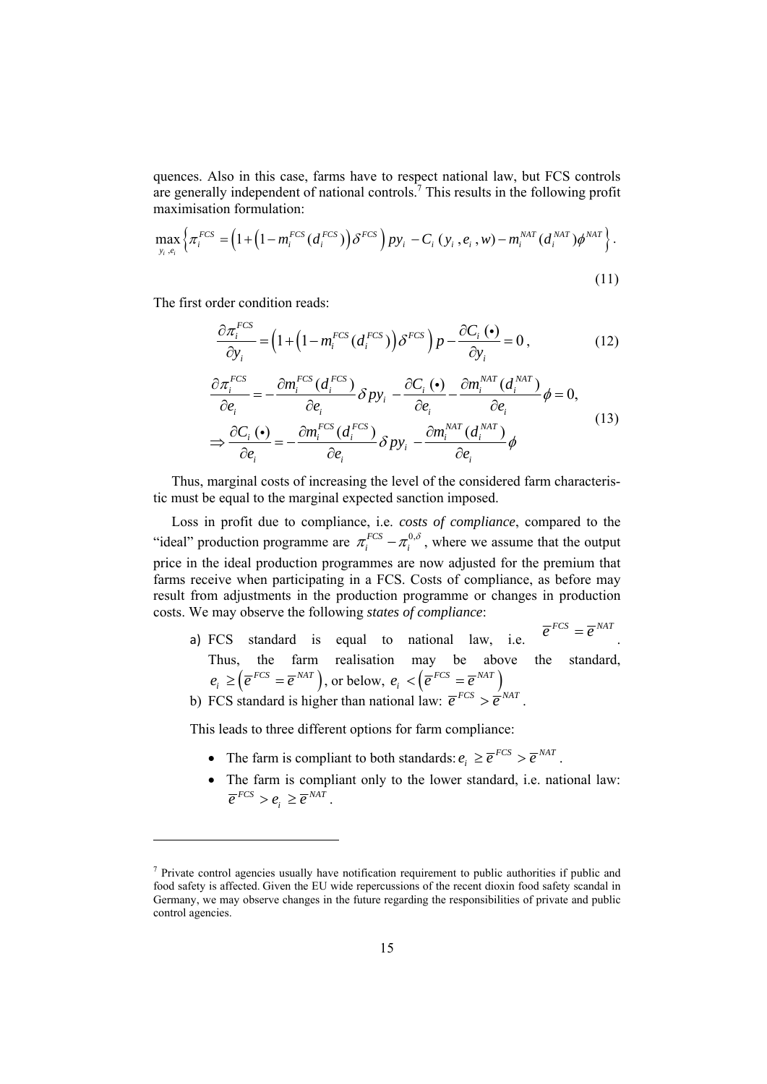quences. Also in this case, farms have to respect national law, but FCS controls are generally independent of national controls.<sup>7</sup> This results in the following profit maximisation formulation:

$$
\max_{\mathbf{y}_i,\mathbf{e}_i} \left\{ \pi_i^{FCS} = \left( 1 + \left( 1 - m_i^{FCS} \left( d_i^{FCS} \right) \right) \delta^{FCS} \right) p \mathbf{y}_i - C_i \left( \mathbf{y}_i, \mathbf{e}_i, w \right) - m_i^{NAT} \left( d_i^{NAT} \right) \phi^{NAT} \right\} \right. \tag{11}
$$

The first order condition reads:

l

$$
\frac{\partial \pi_i^{FCS}}{\partial y_i} = \left(1 + \left(1 - m_i^{FCS}\left(d_i^{FCS}\right)\right)\delta^{FCS}\right)p - \frac{\partial C_i\left(\bullet\right)}{\partial y_i} = 0\,,\tag{12}
$$

$$
\frac{\partial \pi_i^{FCS}}{\partial e_i} = -\frac{\partial m_i^{FCS} (d_i^{FCS})}{\partial e_i} \delta p y_i - \frac{\partial C_i (\bullet)}{\partial e_i} - \frac{\partial m_i^{NAT} (d_i^{NAT})}{\partial e_i} \phi = 0,
$$
\n
$$
\Rightarrow \frac{\partial C_i (\bullet)}{\partial e_i} = -\frac{\partial m_i^{FCS} (d_i^{FCS})}{\partial e_i} \delta p y_i - \frac{\partial m_i^{NAT} (d_i^{NAT})}{\partial e_i} \phi
$$
\n(13)

Thus, marginal costs of increasing the level of the considered farm characteristic must be equal to the marginal expected sanction imposed.

Loss in profit due to compliance, i.e. *costs of compliance*, compared to the "ideal" production programme are  $\pi_i^{FCS} - \pi_i^{0,\delta}$ , where we assume that the output price in the ideal production programmes are now adjusted for the premium that farms receive when participating in a FCS. Costs of compliance, as before may result from adjustments in the production programme or changes in production costs. We may observe the following *states of compliance*:

a) FCS standard is equal to national law, i.e.  $\overline{e}^{FCS} = \overline{e}^{NAT}$ . Thus, the farm realisation may be above the standard,  $e_i \geq (\overline{e}^{FCS} = \overline{e}^{NAT})$ , or below,  $e_i < (\overline{e}^{FCS} = \overline{e}^{NAT})$ b) FCS standard is higher than national law:  $\overline{e}^{FCS} > \overline{e}^{NAT}$ .

This leads to three different options for farm compliance:

- The farm is compliant to both standards:  $e_i \geq \overline{e}^{FCS} > \overline{e}^{NAT}$ .
- The farm is compliant only to the lower standard, i.e. national law:  $\overline{e}^{FCS} > e_i \geq \overline{e}^{NAT}$ .

 $<sup>7</sup>$  Private control agencies usually have notification requirement to public authorities if public and</sup> food safety is affected. Given the EU wide repercussions of the recent dioxin food safety scandal in Germany, we may observe changes in the future regarding the responsibilities of private and public control agencies.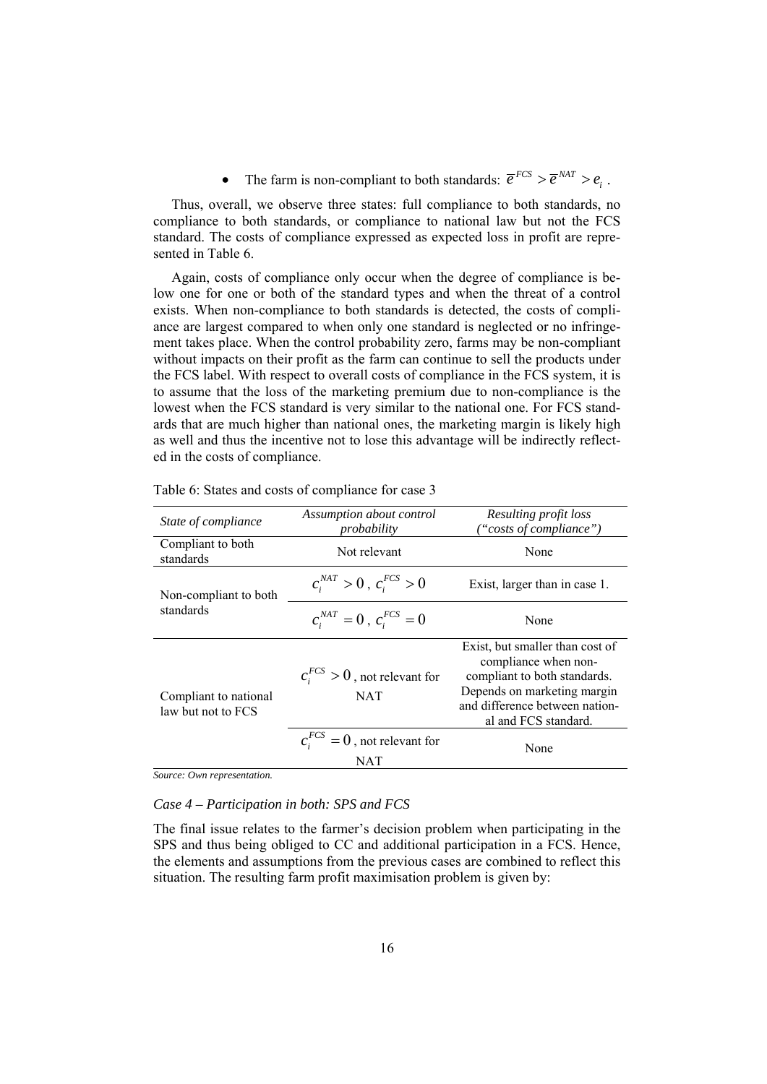• The farm is non-compliant to both standards:  $\overline{e}^{FCS} > \overline{e}^{NAT} > e_i$ .

Thus, overall, we observe three states: full compliance to both standards, no compliance to both standards, or compliance to national law but not the FCS standard. The costs of compliance expressed as expected loss in profit are represented in Table 6.

Again, costs of compliance only occur when the degree of compliance is below one for one or both of the standard types and when the threat of a control exists. When non-compliance to both standards is detected, the costs of compliance are largest compared to when only one standard is neglected or no infringement takes place. When the control probability zero, farms may be non-compliant without impacts on their profit as the farm can continue to sell the products under the FCS label. With respect to overall costs of compliance in the FCS system, it is to assume that the loss of the marketing premium due to non-compliance is the lowest when the FCS standard is very similar to the national one. For FCS standards that are much higher than national ones, the marketing margin is likely high as well and thus the incentive not to lose this advantage will be indirectly reflected in the costs of compliance.

| State of compliance                         | Assumption about control<br>probability          | Resulting profit loss<br>"costs of compliance")                                                                                                                                  |
|---------------------------------------------|--------------------------------------------------|----------------------------------------------------------------------------------------------------------------------------------------------------------------------------------|
| Compliant to both<br>standards              | Not relevant                                     | None                                                                                                                                                                             |
| Non-compliant to both                       | $c_i^{NAT} > 0$ , $c_i^{FCS} > 0$                | Exist, larger than in case 1.                                                                                                                                                    |
| standards                                   | $c_i^{NAT} = 0$ , $c_i^{FCS} = 0$                | None                                                                                                                                                                             |
| Compliant to national<br>law but not to FCS | $c_i^{FCS} > 0$ , not relevant for<br><b>NAT</b> | Exist, but smaller than cost of<br>compliance when non-<br>compliant to both standards.<br>Depends on marketing margin<br>and difference between nation-<br>al and FCS standard. |
|                                             | $c_i^{FCS} = 0$ , not relevant for<br>NAT        | None                                                                                                                                                                             |

Table 6: States and costs of compliance for case 3

*Source: Own representation.* 

# *Case 4 – Participation in both: SPS and FCS*

The final issue relates to the farmer's decision problem when participating in the SPS and thus being obliged to CC and additional participation in a FCS. Hence, the elements and assumptions from the previous cases are combined to reflect this situation. The resulting farm profit maximisation problem is given by: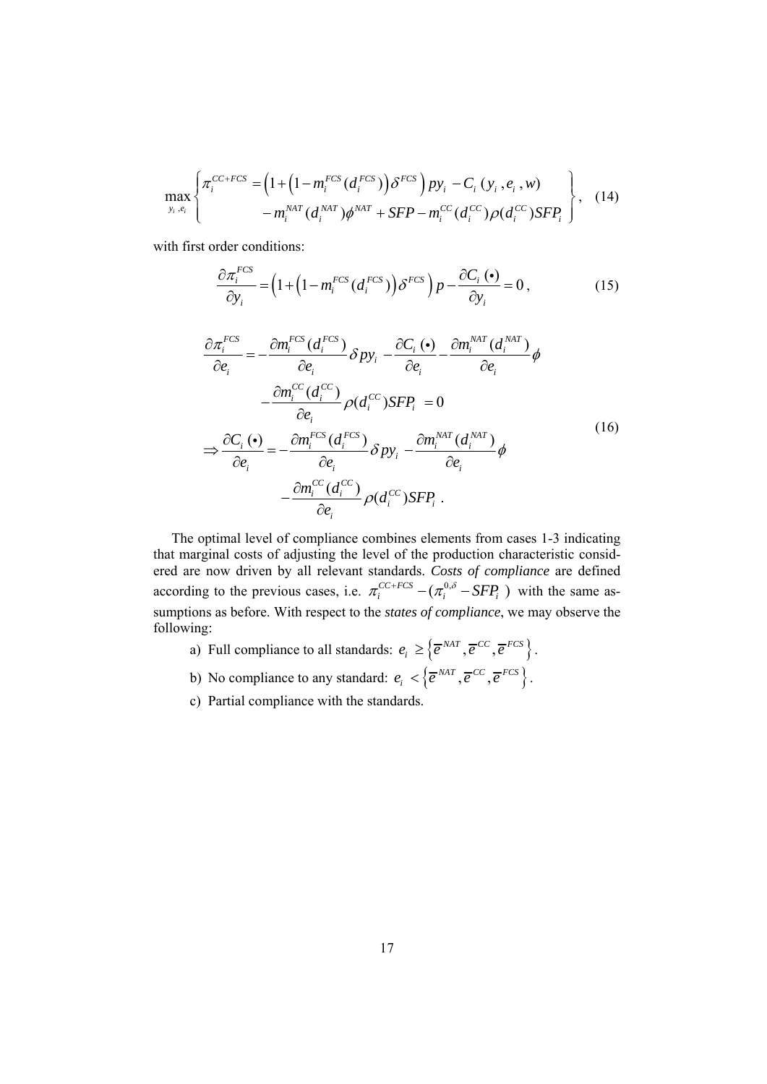$$
\max_{y_i, e_i} \left\{ \pi_i^{CC+FCS} = \left( 1 + \left( 1 - m_i^{FCS} (d_i^{FCS}) \right) \delta^{FCS} \right) p y_i - C_i (y_i, e_i, w) - m_i^{MAT} (d_i^{MAT}) \phi^{MAT} + SFP - m_i^{CC} (d_i^{CC}) \rho (d_i^{CC}) SFP_i \right\}, \quad (14)
$$

with first order conditions:

$$
\frac{\partial \pi_i^{FCS}}{\partial y_i} = \left(1 + \left(1 - m_i^{FCS}\left(d_i^{FCS}\right)\right)\delta^{FCS}\right)p - \frac{\partial C_i\left(\bullet\right)}{\partial y_i} = 0\,,\tag{15}
$$

$$
\frac{\partial \pi_i^{FCS}}{\partial e_i} = -\frac{\partial m_i^{FCS}(d_i^{FCS})}{\partial e_i} \delta p y_i - \frac{\partial C_i(\bullet)}{\partial e_i} - \frac{\partial m_i^{NAT}(d_i^{NAT})}{\partial e_i} \phi
$$
\n
$$
-\frac{\partial m_i^{CC}(d_i^{CC})}{\partial e_i} \rho(d_i^{CC}) S F P_i = 0
$$
\n
$$
\Rightarrow \frac{\partial C_i(\bullet)}{\partial e_i} = -\frac{\partial m_i^{FCS}(d_i^{FCS})}{\partial e_i} \delta p y_i - \frac{\partial m_i^{NAT}(d_i^{NAT})}{\partial e_i} \phi
$$
\n
$$
-\frac{\partial m_i^{CC}(d_i^{CC})}{\partial e_i} \rho(d_i^{CC}) S F P_i .
$$
\n(16)

The optimal level of compliance combines elements from cases 1-3 indicating that marginal costs of adjusting the level of the production characteristic considered are now driven by all relevant standards. *Costs of compliance* are defined according to the previous cases, i.e.  $\pi_i^{CC+FCS} - (\pi_i^{0,\delta} - SFP_i)$  with the same assumptions as before. With respect to the *states of compliance*, we may observe the following:

- a) Full compliance to all standards:  $e_i \geq \{ \overline{e}^{NAT}, \overline{e}^{CC}, \overline{e}^{FCS} \}$ .
- b) No compliance to any standard:  $e_i < \{\overline{e}^{NAT}, \overline{e}^{CC}, \overline{e}^{FCS}\}\$ .
- c) Partial compliance with the standards.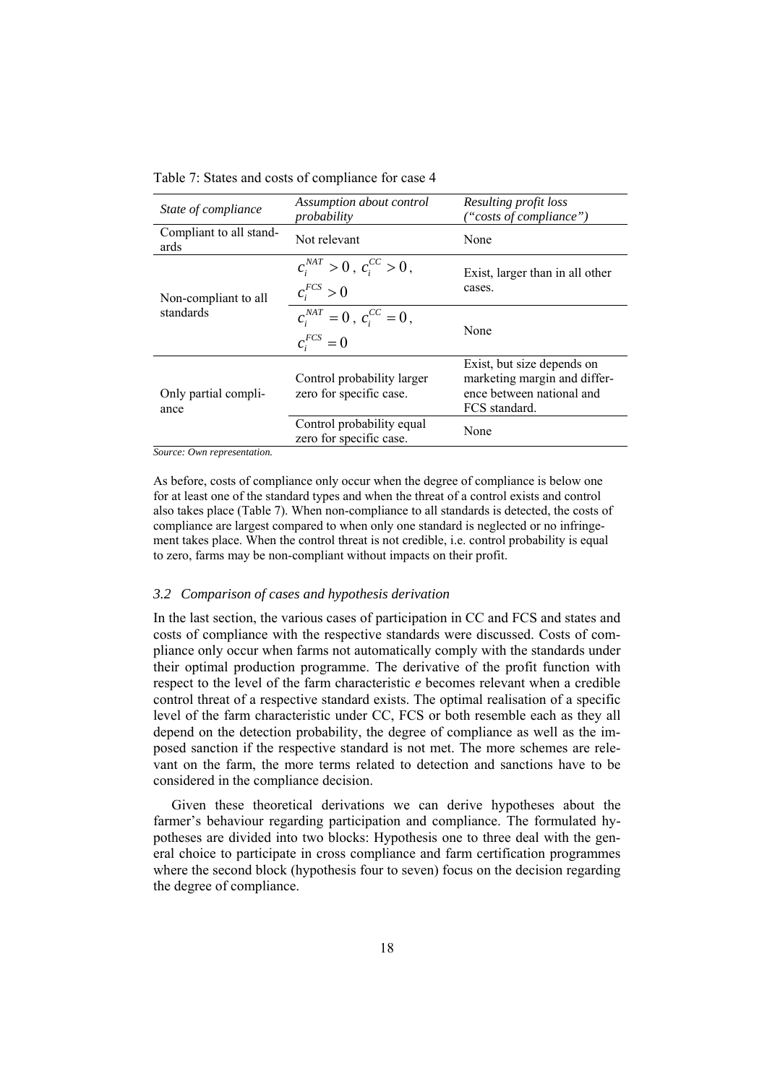Table 7: States and costs of compliance for case 4

| State of compliance             | Assumption about control<br>probability               | Resulting profit loss<br>("costs of compliance")                                                         |  |
|---------------------------------|-------------------------------------------------------|----------------------------------------------------------------------------------------------------------|--|
| Compliant to all stand-<br>ards | Not relevant                                          | None                                                                                                     |  |
| Non-compliant to all            | $c_i^{NAT} > 0$ , $c_i^{CC} > 0$ ,<br>$c_i^{FCS} > 0$ | Exist, larger than in all other<br>cases.                                                                |  |
| standards                       | $c_i^{NAT} = 0$ , $c_i^{CC} = 0$ ,<br>$c_i^{FCS}=0$   | None                                                                                                     |  |
| Only partial compli-<br>ance    | Control probability larger<br>zero for specific case. | Exist, but size depends on<br>marketing margin and differ-<br>ence between national and<br>FCS standard. |  |
|                                 | Control probability equal<br>zero for specific case.  | None                                                                                                     |  |

*Source: Own representation.* 

As before, costs of compliance only occur when the degree of compliance is below one for at least one of the standard types and when the threat of a control exists and control also takes place (Table 7). When non-compliance to all standards is detected, the costs of compliance are largest compared to when only one standard is neglected or no infringement takes place. When the control threat is not credible, i.e. control probability is equal to zero, farms may be non-compliant without impacts on their profit.

#### *3.2 Comparison of cases and hypothesis derivation*

In the last section, the various cases of participation in CC and FCS and states and costs of compliance with the respective standards were discussed. Costs of compliance only occur when farms not automatically comply with the standards under their optimal production programme. The derivative of the profit function with respect to the level of the farm characteristic *e* becomes relevant when a credible control threat of a respective standard exists. The optimal realisation of a specific level of the farm characteristic under CC, FCS or both resemble each as they all depend on the detection probability, the degree of compliance as well as the imposed sanction if the respective standard is not met. The more schemes are relevant on the farm, the more terms related to detection and sanctions have to be considered in the compliance decision.

Given these theoretical derivations we can derive hypotheses about the farmer's behaviour regarding participation and compliance. The formulated hypotheses are divided into two blocks: Hypothesis one to three deal with the general choice to participate in cross compliance and farm certification programmes where the second block (hypothesis four to seven) focus on the decision regarding the degree of compliance.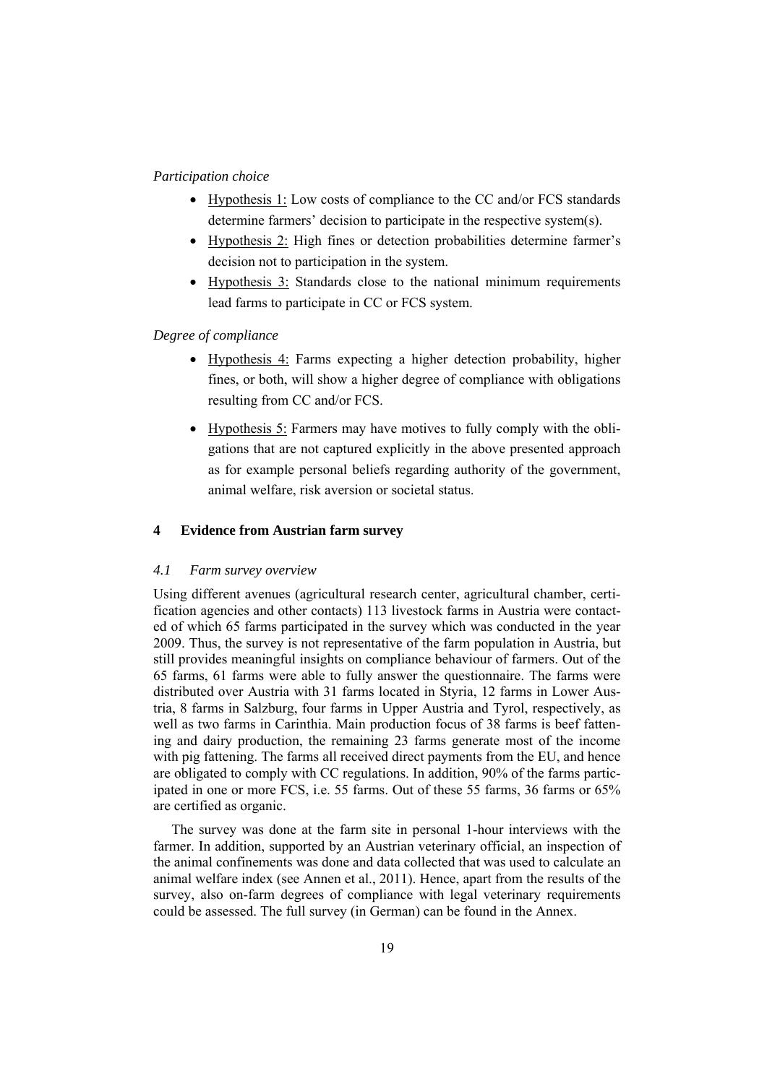# *Participation choice*

- Hypothesis 1: Low costs of compliance to the CC and/or FCS standards determine farmers' decision to participate in the respective system(s).
- Hypothesis 2: High fines or detection probabilities determine farmer's decision not to participation in the system.
- Hypothesis 3: Standards close to the national minimum requirements lead farms to participate in CC or FCS system.

# *Degree of compliance*

- Hypothesis 4: Farms expecting a higher detection probability, higher fines, or both, will show a higher degree of compliance with obligations resulting from CC and/or FCS.
- Hypothesis 5: Farmers may have motives to fully comply with the obligations that are not captured explicitly in the above presented approach as for example personal beliefs regarding authority of the government, animal welfare, risk aversion or societal status.

# **4 Evidence from Austrian farm survey**

# *4.1 Farm survey overview*

Using different avenues (agricultural research center, agricultural chamber, certification agencies and other contacts) 113 livestock farms in Austria were contacted of which 65 farms participated in the survey which was conducted in the year 2009. Thus, the survey is not representative of the farm population in Austria, but still provides meaningful insights on compliance behaviour of farmers. Out of the 65 farms, 61 farms were able to fully answer the questionnaire. The farms were distributed over Austria with 31 farms located in Styria, 12 farms in Lower Austria, 8 farms in Salzburg, four farms in Upper Austria and Tyrol, respectively, as well as two farms in Carinthia. Main production focus of 38 farms is beef fattening and dairy production, the remaining 23 farms generate most of the income with pig fattening. The farms all received direct payments from the EU, and hence are obligated to comply with CC regulations. In addition, 90% of the farms participated in one or more FCS, i.e. 55 farms. Out of these 55 farms, 36 farms or 65% are certified as organic.

The survey was done at the farm site in personal 1-hour interviews with the farmer. In addition, supported by an Austrian veterinary official, an inspection of the animal confinements was done and data collected that was used to calculate an animal welfare index (see Annen et al., 2011). Hence, apart from the results of the survey, also on-farm degrees of compliance with legal veterinary requirements could be assessed. The full survey (in German) can be found in the Annex.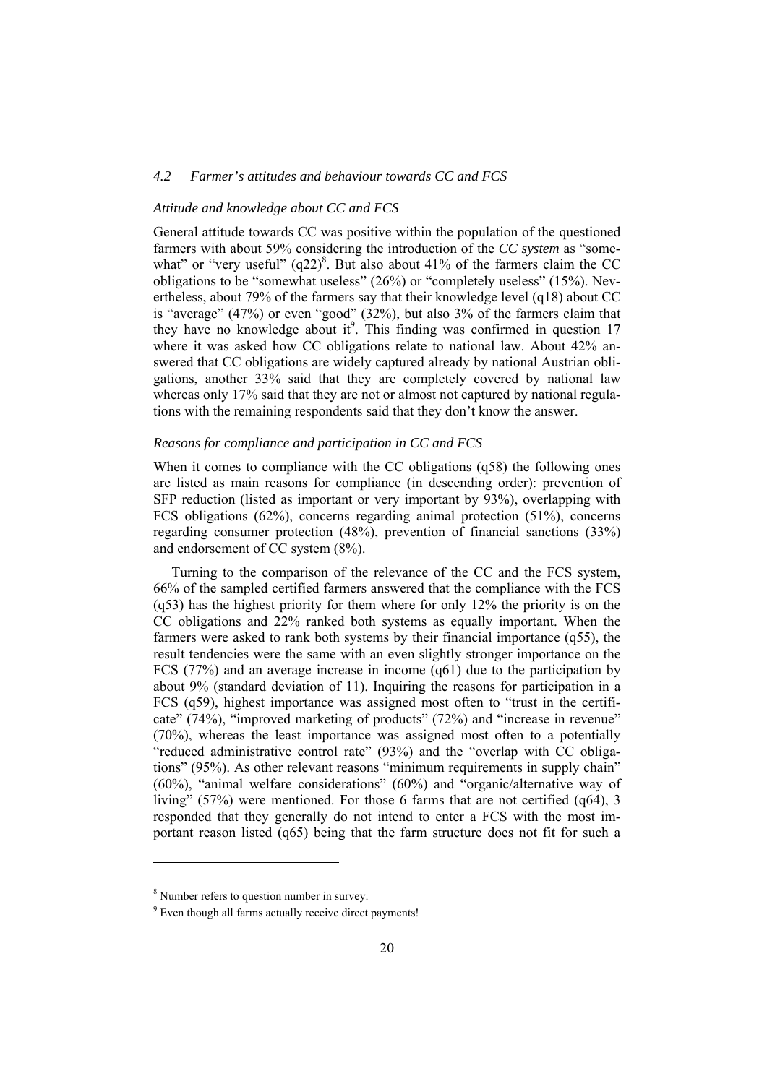# *4.2 Farmer's attitudes and behaviour towards CC and FCS*

# *Attitude and knowledge about CC and FCS*

General attitude towards CC was positive within the population of the questioned farmers with about 59% considering the introduction of the *CC system* as "somewhat" or "very useful"  $(q22)^8$ . But also about 41% of the farmers claim the CC obligations to be "somewhat useless" (26%) or "completely useless" (15%). Nevertheless, about 79% of the farmers say that their knowledge level (q18) about CC is "average" (47%) or even "good" (32%), but also 3% of the farmers claim that they have no knowledge about it<sup>9</sup>. This finding was confirmed in question  $17$ where it was asked how CC obligations relate to national law. About 42% answered that CC obligations are widely captured already by national Austrian obligations, another 33% said that they are completely covered by national law whereas only 17% said that they are not or almost not captured by national regulations with the remaining respondents said that they don't know the answer.

# *Reasons for compliance and participation in CC and FCS*

When it comes to compliance with the CC obligations (q58) the following ones are listed as main reasons for compliance (in descending order): prevention of SFP reduction (listed as important or very important by 93%), overlapping with FCS obligations (62%), concerns regarding animal protection (51%), concerns regarding consumer protection (48%), prevention of financial sanctions (33%) and endorsement of CC system (8%).

Turning to the comparison of the relevance of the CC and the FCS system, 66% of the sampled certified farmers answered that the compliance with the FCS (q53) has the highest priority for them where for only 12% the priority is on the CC obligations and 22% ranked both systems as equally important. When the farmers were asked to rank both systems by their financial importance (q55), the result tendencies were the same with an even slightly stronger importance on the FCS (77%) and an average increase in income (q61) due to the participation by about 9% (standard deviation of 11). Inquiring the reasons for participation in a FCS (q59), highest importance was assigned most often to "trust in the certificate" (74%), "improved marketing of products" (72%) and "increase in revenue" (70%), whereas the least importance was assigned most often to a potentially "reduced administrative control rate" (93%) and the "overlap with CC obligations" (95%). As other relevant reasons "minimum requirements in supply chain" (60%), "animal welfare considerations" (60%) and "organic/alternative way of living" (57%) were mentioned. For those 6 farms that are not certified (q64), 3 responded that they generally do not intend to enter a FCS with the most important reason listed (q65) being that the farm structure does not fit for such a

l

<sup>8</sup> Number refers to question number in survey.

<sup>&</sup>lt;sup>9</sup> Even though all farms actually receive direct payments!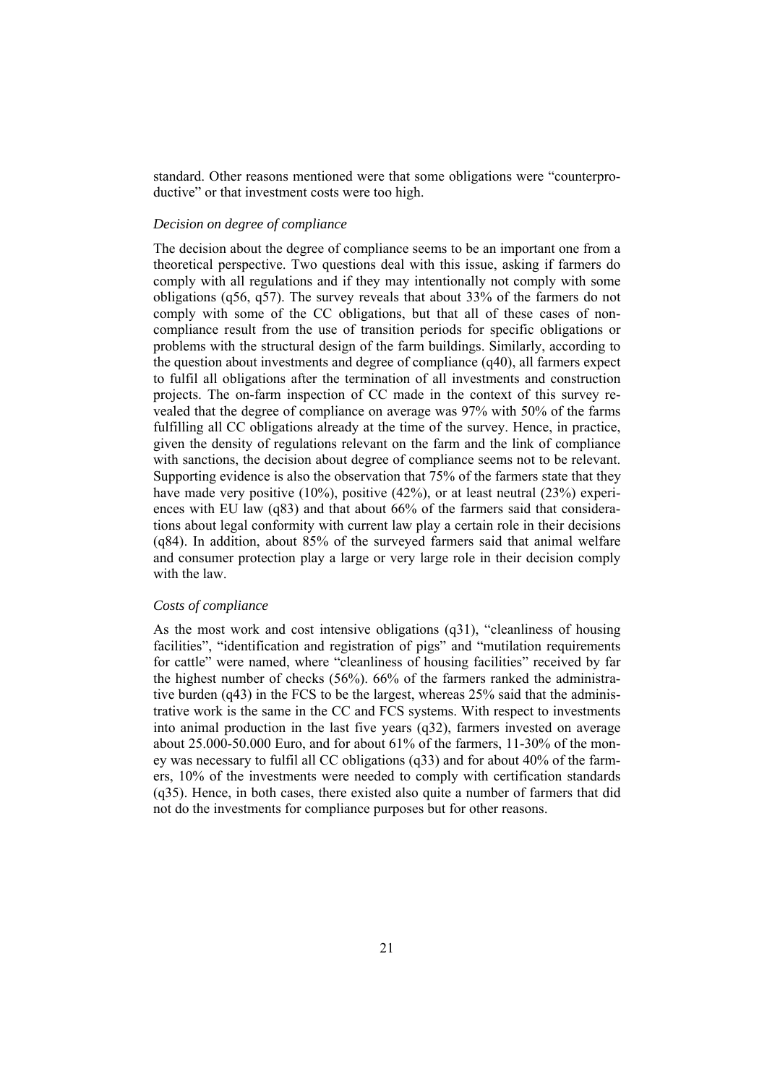standard. Other reasons mentioned were that some obligations were "counterproductive" or that investment costs were too high.

# *Decision on degree of compliance*

The decision about the degree of compliance seems to be an important one from a theoretical perspective. Two questions deal with this issue, asking if farmers do comply with all regulations and if they may intentionally not comply with some obligations (q56, q57). The survey reveals that about 33% of the farmers do not comply with some of the CC obligations, but that all of these cases of noncompliance result from the use of transition periods for specific obligations or problems with the structural design of the farm buildings. Similarly, according to the question about investments and degree of compliance (q40), all farmers expect to fulfil all obligations after the termination of all investments and construction projects. The on-farm inspection of CC made in the context of this survey revealed that the degree of compliance on average was 97% with 50% of the farms fulfilling all CC obligations already at the time of the survey. Hence, in practice, given the density of regulations relevant on the farm and the link of compliance with sanctions, the decision about degree of compliance seems not to be relevant. Supporting evidence is also the observation that 75% of the farmers state that they have made very positive (10%), positive (42%), or at least neutral (23%) experiences with EU law (q83) and that about 66% of the farmers said that considerations about legal conformity with current law play a certain role in their decisions (q84). In addition, about 85% of the surveyed farmers said that animal welfare and consumer protection play a large or very large role in their decision comply with the law.

# *Costs of compliance*

As the most work and cost intensive obligations (q31), "cleanliness of housing facilities", "identification and registration of pigs" and "mutilation requirements for cattle" were named, where "cleanliness of housing facilities" received by far the highest number of checks (56%). 66% of the farmers ranked the administrative burden (q43) in the FCS to be the largest, whereas 25% said that the administrative work is the same in the CC and FCS systems. With respect to investments into animal production in the last five years (q32), farmers invested on average about  $25.000-50.000$  Euro, and for about  $61\%$  of the farmers,  $11-30\%$  of the money was necessary to fulfil all CC obligations (q33) and for about 40% of the farmers, 10% of the investments were needed to comply with certification standards (q35). Hence, in both cases, there existed also quite a number of farmers that did not do the investments for compliance purposes but for other reasons.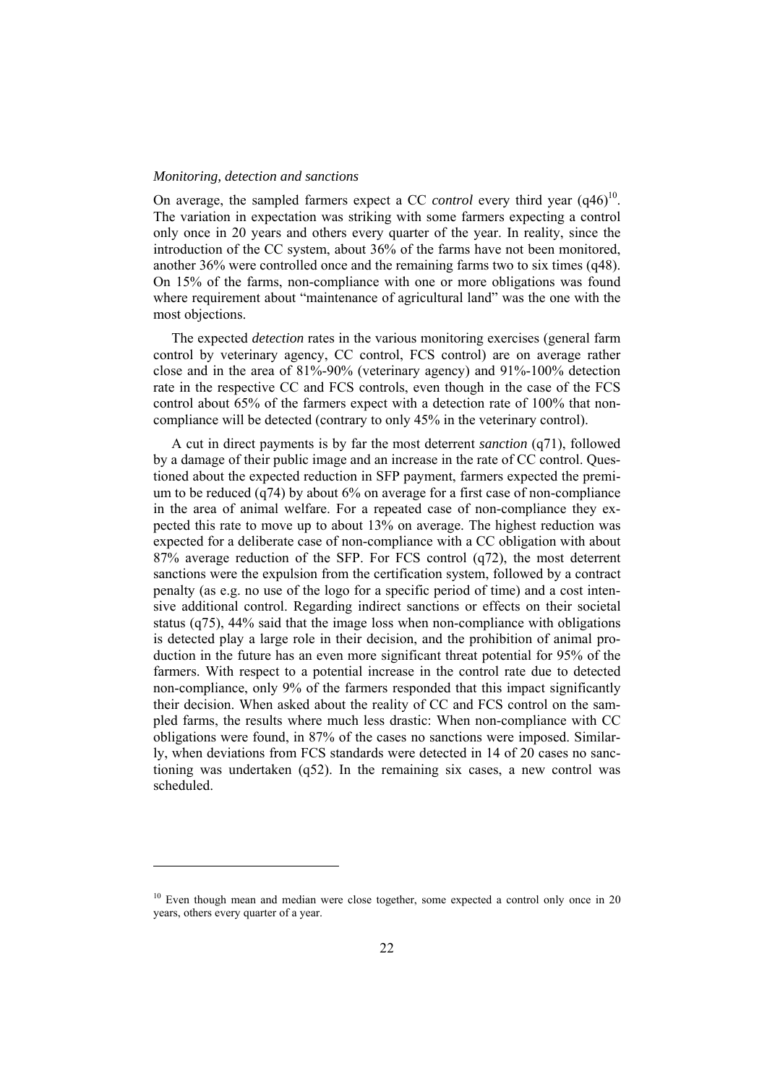#### *Monitoring, detection and sanctions*

l

On average, the sampled farmers expect a CC *control* every third year  $(q46)^{10}$ . The variation in expectation was striking with some farmers expecting a control only once in 20 years and others every quarter of the year. In reality, since the introduction of the CC system, about 36% of the farms have not been monitored, another 36% were controlled once and the remaining farms two to six times (q48). On 15% of the farms, non-compliance with one or more obligations was found where requirement about "maintenance of agricultural land" was the one with the most objections.

The expected *detection* rates in the various monitoring exercises (general farm control by veterinary agency, CC control, FCS control) are on average rather close and in the area of 81%-90% (veterinary agency) and 91%-100% detection rate in the respective CC and FCS controls, even though in the case of the FCS control about 65% of the farmers expect with a detection rate of 100% that noncompliance will be detected (contrary to only 45% in the veterinary control).

A cut in direct payments is by far the most deterrent *sanction* (q71), followed by a damage of their public image and an increase in the rate of CC control. Questioned about the expected reduction in SFP payment, farmers expected the premium to be reduced (q74) by about 6% on average for a first case of non-compliance in the area of animal welfare. For a repeated case of non-compliance they expected this rate to move up to about 13% on average. The highest reduction was expected for a deliberate case of non-compliance with a CC obligation with about 87% average reduction of the SFP. For FCS control (q72), the most deterrent sanctions were the expulsion from the certification system, followed by a contract penalty (as e.g. no use of the logo for a specific period of time) and a cost intensive additional control. Regarding indirect sanctions or effects on their societal status (q75), 44% said that the image loss when non-compliance with obligations is detected play a large role in their decision, and the prohibition of animal production in the future has an even more significant threat potential for 95% of the farmers. With respect to a potential increase in the control rate due to detected non-compliance, only 9% of the farmers responded that this impact significantly their decision. When asked about the reality of CC and FCS control on the sampled farms, the results where much less drastic: When non-compliance with CC obligations were found, in 87% of the cases no sanctions were imposed. Similarly, when deviations from FCS standards were detected in 14 of 20 cases no sanctioning was undertaken (q52). In the remaining six cases, a new control was scheduled.

<sup>&</sup>lt;sup>10</sup> Even though mean and median were close together, some expected a control only once in 20 years, others every quarter of a year.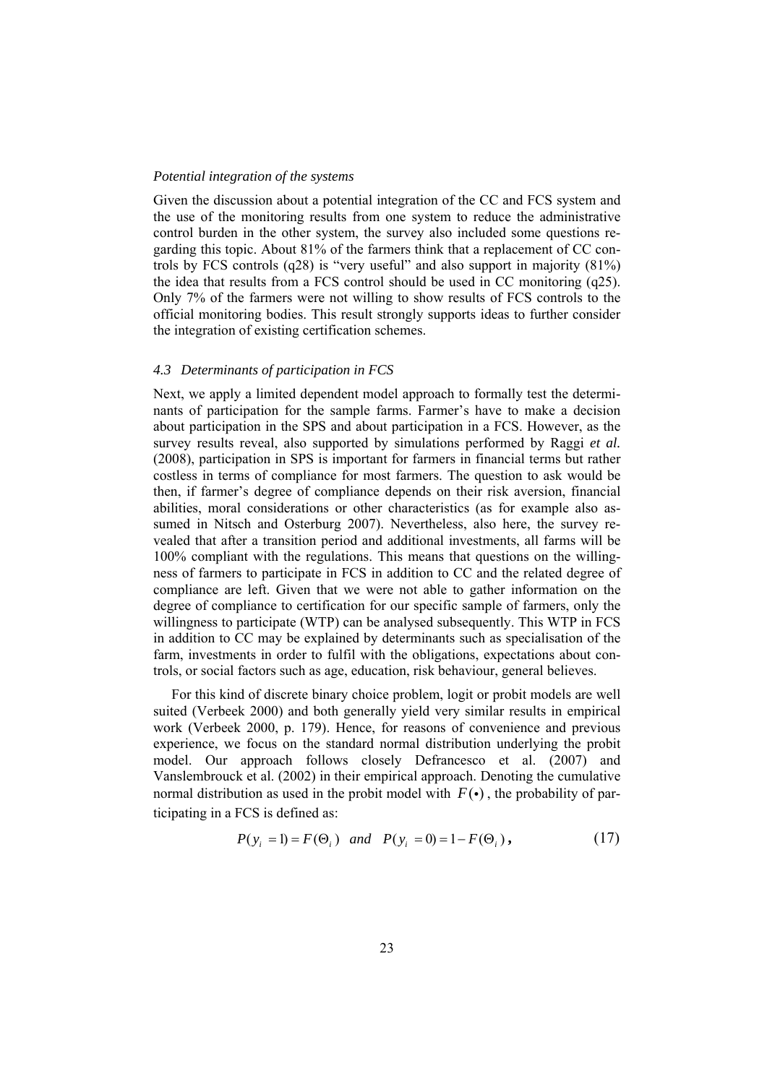# *Potential integration of the systems*

Given the discussion about a potential integration of the CC and FCS system and the use of the monitoring results from one system to reduce the administrative control burden in the other system, the survey also included some questions regarding this topic. About 81% of the farmers think that a replacement of CC controls by FCS controls (q28) is "very useful" and also support in majority (81%) the idea that results from a FCS control should be used in CC monitoring (q25). Only 7% of the farmers were not willing to show results of FCS controls to the official monitoring bodies. This result strongly supports ideas to further consider the integration of existing certification schemes.

# *4.3 Determinants of participation in FCS*

Next, we apply a limited dependent model approach to formally test the determinants of participation for the sample farms. Farmer's have to make a decision about participation in the SPS and about participation in a FCS. However, as the survey results reveal, also supported by simulations performed by Raggi *et al.* (2008), participation in SPS is important for farmers in financial terms but rather costless in terms of compliance for most farmers. The question to ask would be then, if farmer's degree of compliance depends on their risk aversion, financial abilities, moral considerations or other characteristics (as for example also assumed in Nitsch and Osterburg 2007). Nevertheless, also here, the survey revealed that after a transition period and additional investments, all farms will be 100% compliant with the regulations. This means that questions on the willingness of farmers to participate in FCS in addition to CC and the related degree of compliance are left. Given that we were not able to gather information on the degree of compliance to certification for our specific sample of farmers, only the willingness to participate (WTP) can be analysed subsequently. This WTP in FCS in addition to CC may be explained by determinants such as specialisation of the farm, investments in order to fulfil with the obligations, expectations about controls, or social factors such as age, education, risk behaviour, general believes.

For this kind of discrete binary choice problem, logit or probit models are well suited (Verbeek 2000) and both generally yield very similar results in empirical work (Verbeek 2000, p. 179). Hence, for reasons of convenience and previous experience, we focus on the standard normal distribution underlying the probit model. Our approach follows closely Defrancesco et al. (2007) and Vanslembrouck et al. (2002) in their empirical approach. Denoting the cumulative normal distribution as used in the probit model with  $F(\cdot)$ , the probability of participating in a FCS is defined as:

$$
P(y_i = 1) = F(\Theta_i)
$$
 and  $P(y_i = 0) = 1 - F(\Theta_i)$ , (17)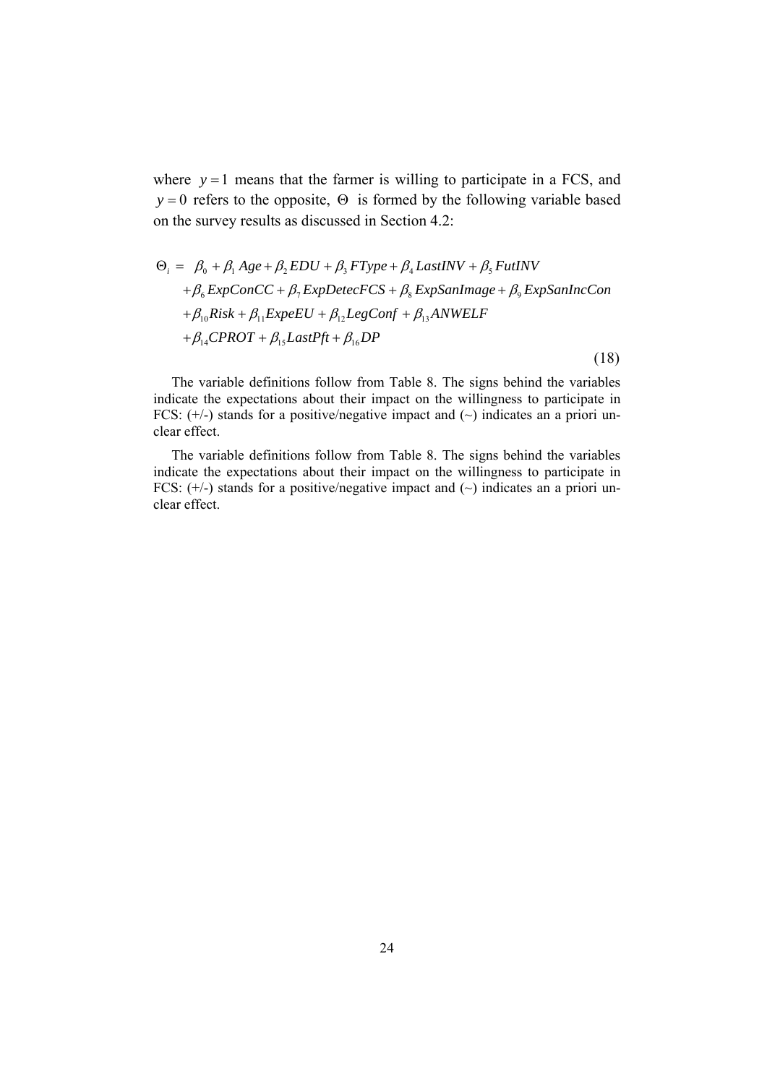where  $y = 1$  means that the farmer is willing to participate in a FCS, and *y* = 0 refers to the opposite,  $\Theta$  is formed by the following variable based on the survey results as discussed in Section 4.2:

$$
\Theta_i = \beta_0 + \beta_1 Age + \beta_2 EDU + \beta_3 FType + \beta_4 LastINV + \beta_5 FutINV
$$
  
+  $\beta_6 ExpConCC + \beta_7 ExpDetecFCS + \beta_8 ExpSanImage + \beta_9 ExpSanIncCon$   
+  $\beta_{10} Risk + \beta_{11} ExpeEU + \beta_{12} LegConf + \beta_{13} ANWELF$   
+  $\beta_{14} CPROT + \beta_{15} LastPft + \beta_{16} DP$ 

indicate the expectations about their impact on the willingness to participate in The variable definitions follow from Table 8. The signs behind the variables FCS:  $(+/-)$  stands for a positive/negative impact and  $(\sim)$  indicates an a priori unclear effect.

(18)

The variable definitions follow from Table 8. The signs behind the variables indicate the expectations about their impact on the willingness to participate in FCS:  $(+/-)$  stands for a positive/negative impact and  $(\sim)$  indicates an a priori unclear effect.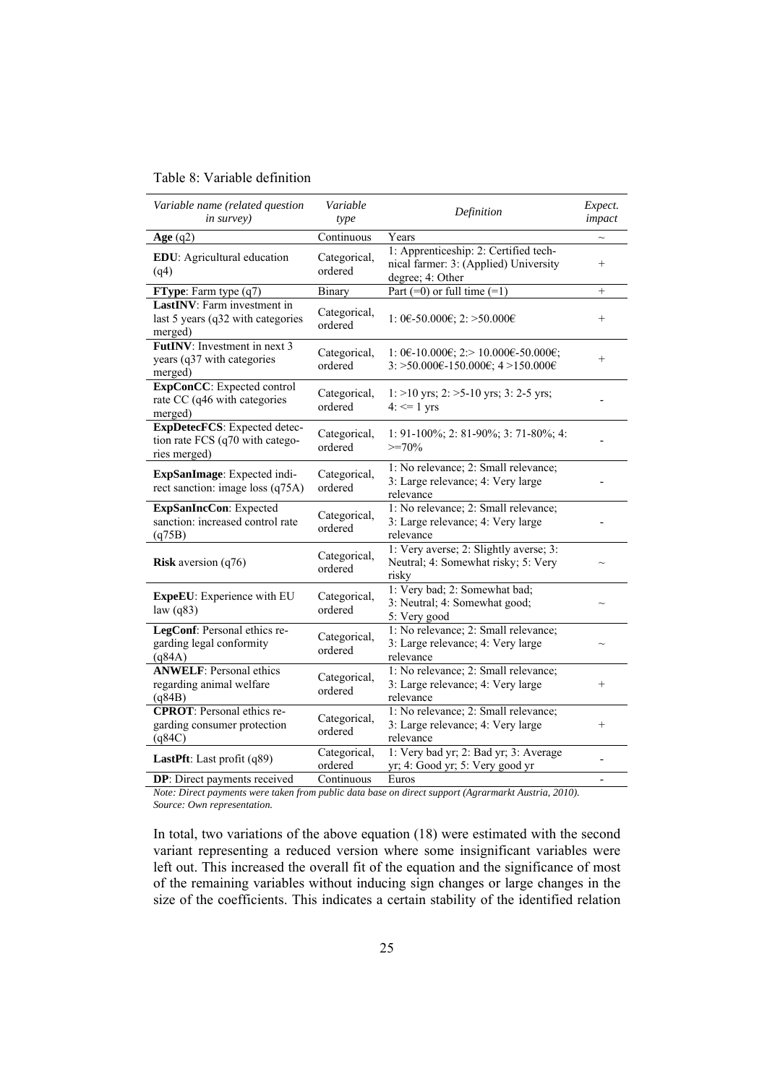# Table 8: Variable definition

| Variable name (related question<br>in survey)                                       | Variable<br>type        | Definition                                                                                         | Expect.<br>impact |
|-------------------------------------------------------------------------------------|-------------------------|----------------------------------------------------------------------------------------------------|-------------------|
| Age $(q2)$                                                                          | Continuous              | Years                                                                                              |                   |
| EDU: Agricultural education<br>(q4)                                                 | Categorical,<br>ordered | 1: Apprenticeship: 2: Certified tech-<br>nical farmer: 3: (Applied) University<br>degree; 4: Other | $^{+}$            |
| FType: Farm type (q7)                                                               | Binary                  | Part $(=0)$ or full time $(=1)$                                                                    | $^{+}$            |
| <b>LastINV</b> : Farm investment in<br>last 5 years (q32 with categories<br>merged) | Categorical,<br>ordered | 1: 0€-50.000€; 2: >50.000€                                                                         | $^{+}$            |
| FutINV: Investment in next 3<br>years (q37 with categories<br>merged)               | Categorical,<br>ordered | 1: 0€-10.000€; 2:> 10.000€-50.000€;<br>3: >50.000€-150.000€; 4 >150.000€                           | $^{+}$            |
| ExpConCC: Expected control<br>rate CC (q46 with categories<br>merged)               | Categorical,<br>ordered | 1: >10 yrs; 2: >5-10 yrs; 3: 2-5 yrs;<br>$4: \leq 1$ yrs                                           |                   |
| ExpDetecFCS: Expected detec-<br>tion rate FCS (q70 with catego-<br>ries merged)     | Categorical,<br>ordered | 1: 91-100%; 2: 81-90%; 3: 71-80%; 4:<br>$>=70%$                                                    |                   |
| ExpSanImage: Expected indi-<br>rect sanction: image loss (q75A)                     | Categorical,<br>ordered | 1: No relevance; 2: Small relevance;<br>3: Large relevance; 4: Very large<br>relevance             |                   |
| ExpSanIncCon: Expected<br>sanction: increased control rate<br>(q75B)                | Categorical,<br>ordered | 1: No relevance; 2: Small relevance;<br>3: Large relevance; 4: Very large<br>relevance             |                   |
| <b>Risk</b> aversion $(q76)$                                                        | Categorical,<br>ordered | 1: Very averse; 2: Slightly averse; 3:<br>Neutral; 4: Somewhat risky; 5: Very<br>risky             |                   |
| ExpeEU: Experience with EU<br>law $(q83)$                                           | Categorical,<br>ordered | 1: Very bad; 2: Somewhat bad;<br>3: Neutral; 4: Somewhat good;<br>5: Very good                     |                   |
| LegConf: Personal ethics re-<br>garding legal conformity<br>(q84A)                  | Categorical,<br>ordered | 1: No relevance; 2: Small relevance;<br>3: Large relevance; 4: Very large<br>relevance             |                   |
| <b>ANWELF: Personal ethics</b><br>regarding animal welfare<br>(q84B)                | Categorical,<br>ordered | 1: No relevance; 2: Small relevance;<br>3: Large relevance; 4: Very large<br>relevance             | $^{+}$            |
| <b>CPROT:</b> Personal ethics re-<br>garding consumer protection<br>(q84C)          | Categorical,<br>ordered | 1: No relevance; 2: Small relevance;<br>3: Large relevance; 4: Very large<br>relevance             | $^{+}$            |
| LastPft: Last profit (q89)                                                          | Categorical,<br>ordered | 1: Very bad yr; 2: Bad yr; 3: Average<br>yr; 4: Good yr; 5: Very good yr                           |                   |
| <b>DP</b> : Direct payments received                                                | Continuous              | Euros                                                                                              |                   |

*Note: Direct payments were taken from public data base on direct support (Agrarmarkt Austria, 2010).* 

*Source: Own representation.* 

In total, two variations of the above equation (18) were estimated with the second variant representing a reduced version where some insignificant variables were left out. This increased the overall fit of the equation and the significance of most of the remaining variables without inducing sign changes or large changes in the size of the coefficients. This indicates a certain stability of the identified relation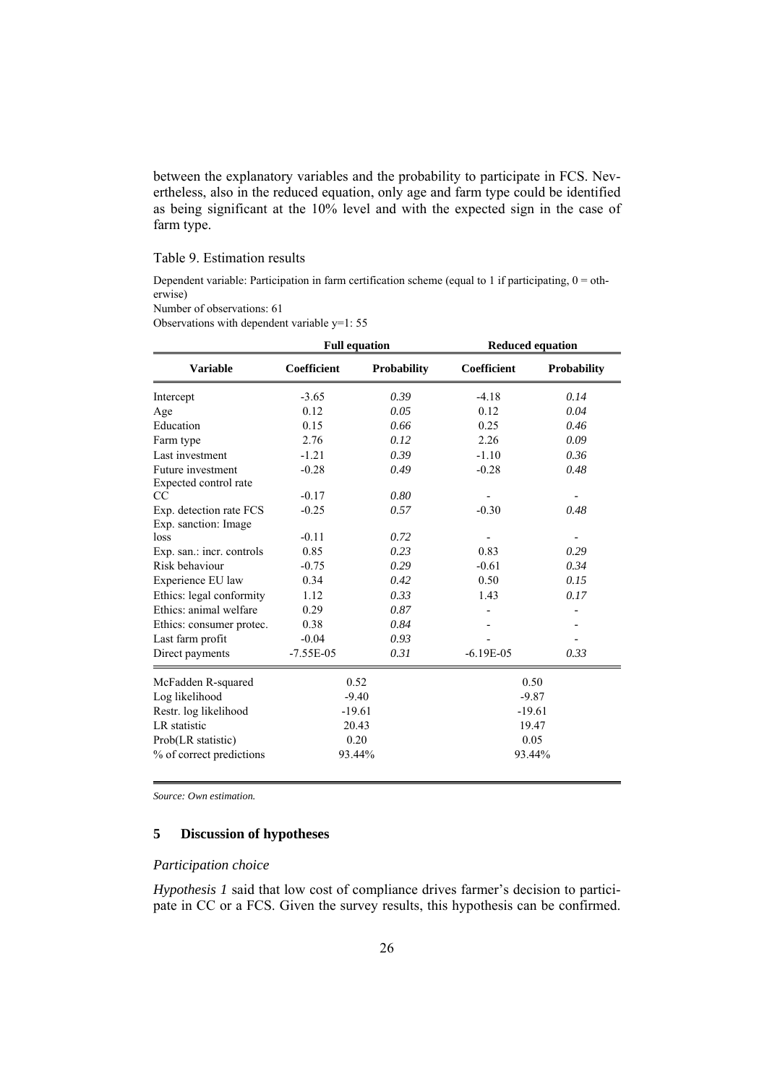between the explanatory variables and the probability to participate in FCS. Nevertheless, also in the reduced equation, only age and farm type could be identified as being significant at the 10% level and with the expected sign in the case of farm type.

# Table 9. Estimation results

Dependent variable: Participation in farm certification scheme (equal to 1 if participating,  $0 =$  otherwise)

Number of observations: 61

Observations with dependent variable y=1: 55

|                                                 | <b>Full equation</b> |                    | <b>Reduced equation</b> |                    |  |
|-------------------------------------------------|----------------------|--------------------|-------------------------|--------------------|--|
| <b>Variable</b>                                 | Coefficient          | <b>Probability</b> | Coefficient             | <b>Probability</b> |  |
| Intercept                                       | $-3.65$              | 0.39               | $-4.18$                 | 0.14               |  |
| Age                                             | 0.12                 | 0.05               | 0.12                    | 0.04               |  |
| Education                                       | 0.15                 | 0.66               | 0.25                    | 0.46               |  |
| Farm type                                       | 2.76                 | 0.12               | 2.26                    | 0.09               |  |
| Last investment                                 | $-1.21$              | 0.39               | $-1.10$                 | 0.36               |  |
| Future investment<br>Expected control rate      | $-0.28$              | 0.49               | $-0.28$                 | 0.48               |  |
| CC                                              | $-0.17$              | 0.80               |                         |                    |  |
| Exp. detection rate FCS<br>Exp. sanction: Image | $-0.25$              | 0.57               | $-0.30$                 | 0.48               |  |
| loss                                            | $-0.11$              | 0.72               |                         |                    |  |
| Exp. san.: incr. controls                       | 0.85                 | 0.23               | 0.83                    | 0.29               |  |
| Risk behaviour                                  | $-0.75$              | 0.29               | $-0.61$                 | 0.34               |  |
| Experience EU law                               | 0.34                 | 0.42               | 0.50                    | 0.15               |  |
| Ethics: legal conformity                        | 1.12                 | 0.33               | 1.43                    | 0.17               |  |
| Ethics: animal welfare                          | 0.29                 | 0.87               |                         |                    |  |
| Ethics: consumer protec.                        | 0.38                 | 0.84               |                         |                    |  |
| Last farm profit                                | $-0.04$              | 0.93               |                         |                    |  |
| Direct payments                                 | $-7.55E-05$          | 0.31               | $-6.19E-05$             | 0.33               |  |
| McFadden R-squared                              |                      | 0.52               |                         | 0.50               |  |
| Log likelihood                                  |                      | $-9.40$            |                         | $-9.87$            |  |
| Restr. log likelihood                           | $-19.61$             |                    | $-19.61$                |                    |  |
| <b>LR</b> statistic                             | 20.43                |                    | 19.47                   |                    |  |
| Prob(LR statistic)                              |                      | 0.20               | 0.05                    |                    |  |
| % of correct predictions                        | 93.44%               |                    | 93.44%                  |                    |  |

*Source: Own estimation.* 

# **5 Discussion of hypotheses**

# *Participation choice*

*Hypothesis 1* said that low cost of compliance drives farmer's decision to participate in CC or a FCS. Given the survey results, this hypothesis can be confirmed.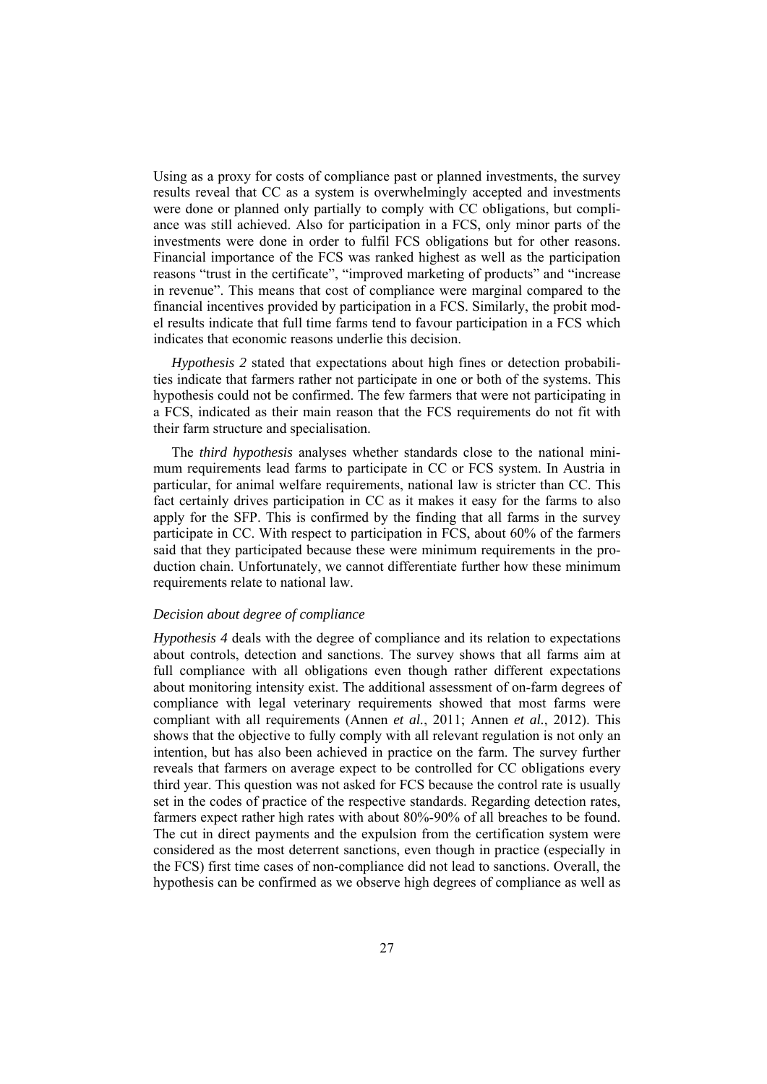Using as a proxy for costs of compliance past or planned investments, the survey results reveal that CC as a system is overwhelmingly accepted and investments were done or planned only partially to comply with CC obligations, but compliance was still achieved. Also for participation in a FCS, only minor parts of the investments were done in order to fulfil FCS obligations but for other reasons. Financial importance of the FCS was ranked highest as well as the participation reasons "trust in the certificate", "improved marketing of products" and "increase in revenue". This means that cost of compliance were marginal compared to the financial incentives provided by participation in a FCS. Similarly, the probit model results indicate that full time farms tend to favour participation in a FCS which indicates that economic reasons underlie this decision.

*Hypothesis 2* stated that expectations about high fines or detection probabilities indicate that farmers rather not participate in one or both of the systems. This hypothesis could not be confirmed. The few farmers that were not participating in a FCS, indicated as their main reason that the FCS requirements do not fit with their farm structure and specialisation.

The *third hypothesis* analyses whether standards close to the national minimum requirements lead farms to participate in CC or FCS system. In Austria in particular, for animal welfare requirements, national law is stricter than CC. This fact certainly drives participation in CC as it makes it easy for the farms to also apply for the SFP. This is confirmed by the finding that all farms in the survey participate in CC. With respect to participation in FCS, about 60% of the farmers said that they participated because these were minimum requirements in the production chain. Unfortunately, we cannot differentiate further how these minimum requirements relate to national law.

# *Decision about degree of compliance*

*Hypothesis 4* deals with the degree of compliance and its relation to expectations about controls, detection and sanctions. The survey shows that all farms aim at full compliance with all obligations even though rather different expectations about monitoring intensity exist. The additional assessment of on-farm degrees of compliance with legal veterinary requirements showed that most farms were compliant with all requirements (Annen *et al.*, 2011; Annen *et al.*, 2012). This shows that the objective to fully comply with all relevant regulation is not only an intention, but has also been achieved in practice on the farm. The survey further reveals that farmers on average expect to be controlled for CC obligations every third year. This question was not asked for FCS because the control rate is usually set in the codes of practice of the respective standards. Regarding detection rates, farmers expect rather high rates with about 80%-90% of all breaches to be found. The cut in direct payments and the expulsion from the certification system were considered as the most deterrent sanctions, even though in practice (especially in the FCS) first time cases of non-compliance did not lead to sanctions. Overall, the hypothesis can be confirmed as we observe high degrees of compliance as well as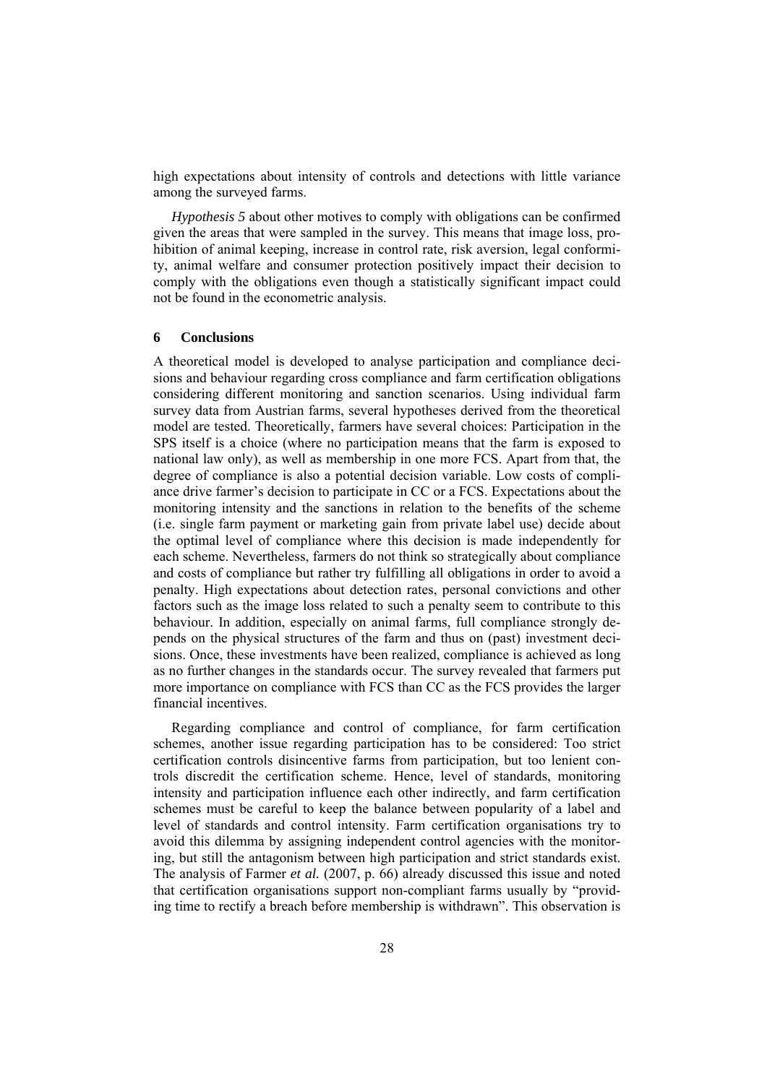high expectations about intensity of controls and detections with little variance among the surveyed farms.

*Hypothesis 5* about other motives to comply with obligations can be confirmed given the areas that were sampled in the survey. This means that image loss, prohibition of animal keeping, increase in control rate, risk aversion, legal conformity, animal welfare and consumer protection positively impact their decision to comply with the obligations even though a statistically significant impact could not be found in the econometric analysis.

## **6 Conclusions**

A theoretical model is developed to analyse participation and compliance decisions and behaviour regarding cross compliance and farm certification obligations considering different monitoring and sanction scenarios. Using individual farm survey data from Austrian farms, several hypotheses derived from the theoretical model are tested. Theoretically, farmers have several choices: Participation in the SPS itself is a choice (where no participation means that the farm is exposed to national law only), as well as membership in one more FCS. Apart from that, the degree of compliance is also a potential decision variable. Low costs of compliance drive farmer's decision to participate in CC or a FCS. Expectations about the monitoring intensity and the sanctions in relation to the benefits of the scheme (i.e. single farm payment or marketing gain from private label use) decide about the optimal level of compliance where this decision is made independently for each scheme. Nevertheless, farmers do not think so strategically about compliance and costs of compliance but rather try fulfilling all obligations in order to avoid a penalty. High expectations about detection rates, personal convictions and other factors such as the image loss related to such a penalty seem to contribute to this behaviour. In addition, especially on animal farms, full compliance strongly depends on the physical structures of the farm and thus on (past) investment decisions. Once, these investments have been realized, compliance is achieved as long as no further changes in the standards occur. The survey revealed that farmers put more importance on compliance with FCS than CC as the FCS provides the larger financial incentives.

Regarding compliance and control of compliance, for farm certification schemes, another issue regarding participation has to be considered: Too strict certification controls disincentive farms from participation, but too lenient controls discredit the certification scheme. Hence, level of standards, monitoring intensity and participation influence each other indirectly, and farm certification schemes must be careful to keep the balance between popularity of a label and level of standards and control intensity. Farm certification organisations try to avoid this dilemma by assigning independent control agencies with the monitoring, but still the antagonism between high participation and strict standards exist. The analysis of Farmer *et al.* (2007, p. 66) already discussed this issue and noted that certification organisations support non-compliant farms usually by "providing time to rectify a breach before membership is withdrawn". This observation is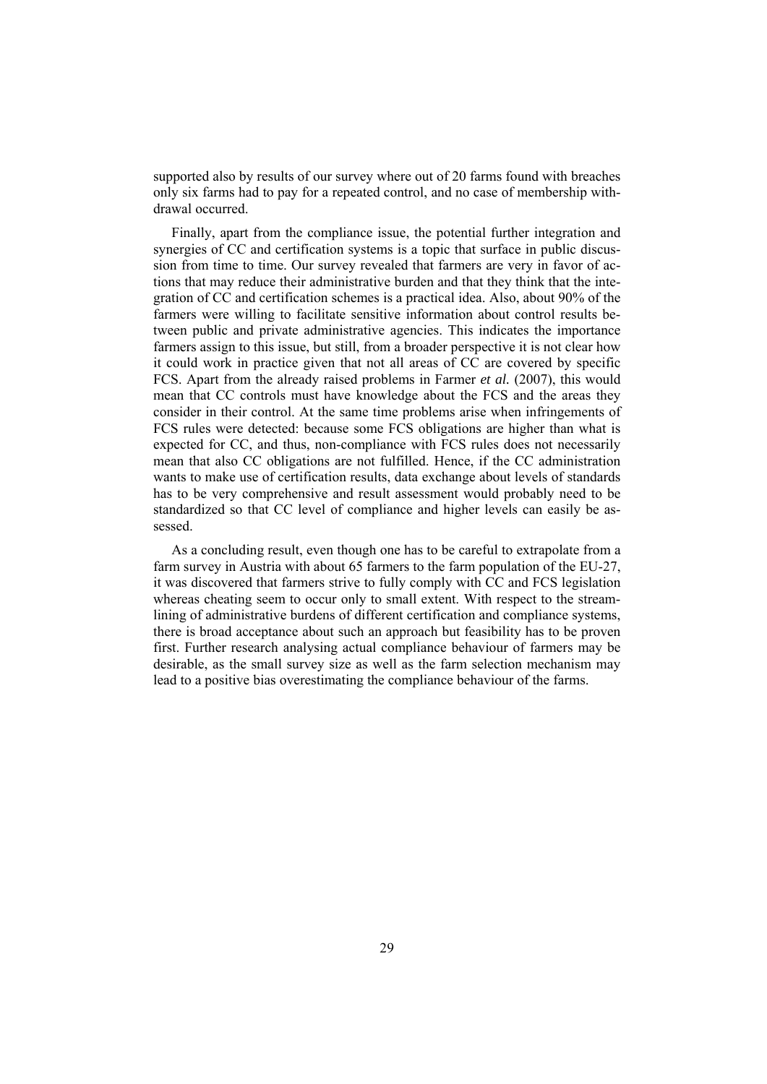supported also by results of our survey where out of 20 farms found with breaches only six farms had to pay for a repeated control, and no case of membership withdrawal occurred.

Finally, apart from the compliance issue, the potential further integration and synergies of CC and certification systems is a topic that surface in public discussion from time to time. Our survey revealed that farmers are very in favor of actions that may reduce their administrative burden and that they think that the integration of CC and certification schemes is a practical idea. Also, about 90% of the farmers were willing to facilitate sensitive information about control results between public and private administrative agencies. This indicates the importance farmers assign to this issue, but still, from a broader perspective it is not clear how it could work in practice given that not all areas of CC are covered by specific FCS. Apart from the already raised problems in Farmer *et al.* (2007), this would mean that CC controls must have knowledge about the FCS and the areas they consider in their control. At the same time problems arise when infringements of FCS rules were detected: because some FCS obligations are higher than what is expected for CC, and thus, non-compliance with FCS rules does not necessarily mean that also CC obligations are not fulfilled. Hence, if the CC administration wants to make use of certification results, data exchange about levels of standards has to be very comprehensive and result assessment would probably need to be standardized so that CC level of compliance and higher levels can easily be assessed.

As a concluding result, even though one has to be careful to extrapolate from a farm survey in Austria with about 65 farmers to the farm population of the EU-27, it was discovered that farmers strive to fully comply with CC and FCS legislation whereas cheating seem to occur only to small extent. With respect to the streamlining of administrative burdens of different certification and compliance systems, there is broad acceptance about such an approach but feasibility has to be proven first. Further research analysing actual compliance behaviour of farmers may be desirable, as the small survey size as well as the farm selection mechanism may lead to a positive bias overestimating the compliance behaviour of the farms.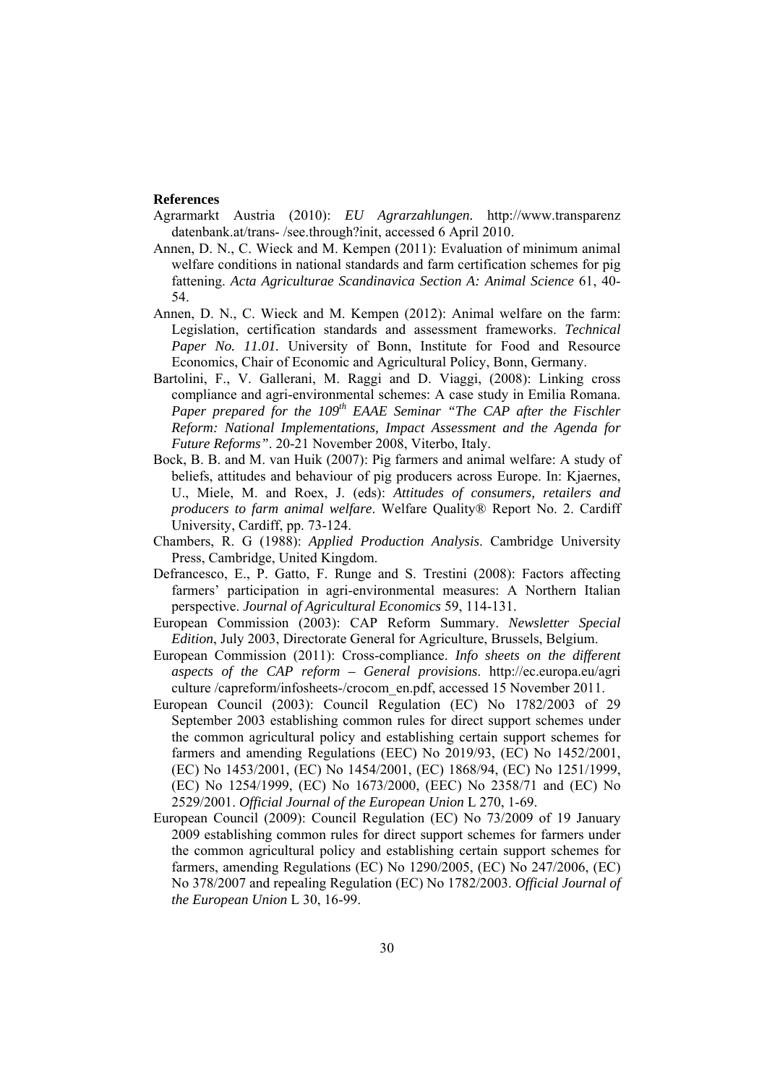#### **References**

- Agrarmarkt Austria (2010): *EU Agrarzahlungen.* http://www.transparenz datenbank.at/trans- /see.through?init, accessed 6 April 2010.
- Annen, D. N., C. Wieck and M. Kempen (2011): Evaluation of minimum animal welfare conditions in national standards and farm certification schemes for pig fattening. *Acta Agriculturae Scandinavica Section A: Animal Science* 61, 40- 54.
- Annen, D. N., C. Wieck and M. Kempen (2012): Animal welfare on the farm: Legislation, certification standards and assessment frameworks. *Technical Paper No. 11.01.* University of Bonn, Institute for Food and Resource Economics, Chair of Economic and Agricultural Policy, Bonn, Germany.
- Bartolini, F., V. Gallerani, M. Raggi and D. Viaggi, (2008): Linking cross compliance and agri-environmental schemes: A case study in Emilia Romana. *Paper prepared for the 109th EAAE Seminar "The CAP after the Fischler Reform: National Implementations, Impact Assessment and the Agenda for Future Reforms"*. 20-21 November 2008, Viterbo, Italy.
- Bock, B. B. and M. van Huik (2007): Pig farmers and animal welfare: A study of beliefs, attitudes and behaviour of pig producers across Europe. In: Kjaernes, U., Miele, M. and Roex, J. (eds): *Attitudes of consumers, retailers and producers to farm animal welfare*. Welfare Quality® Report No. 2. Cardiff University, Cardiff, pp. 73-124.
- Chambers, R. G (1988): *Applied Production Analysis*. Cambridge University Press, Cambridge, United Kingdom.
- Defrancesco, E., P. Gatto, F. Runge and S. Trestini (2008): Factors affecting farmers' participation in agri-environmental measures: A Northern Italian perspective. *Journal of Agricultural Economics* 59, 114-131.
- European Commission (2003): CAP Reform Summary. *Newsletter Special Edition*, July 2003, Directorate General for Agriculture, Brussels, Belgium.
- European Commission (2011): Cross-compliance. *Info sheets on the different aspects of the CAP reform – General provisions*. http://ec.europa.eu/agri culture /capreform/infosheets-/crocom\_en.pdf, accessed 15 November 2011.
- European Council (2003): Council Regulation (EC) No 1782/2003 of 29 September 2003 establishing common rules for direct support schemes under the common agricultural policy and establishing certain support schemes for farmers and amending Regulations (EEC) No 2019/93, (EC) No 1452/2001, (EC) No 1453/2001, (EC) No 1454/2001, (EC) 1868/94, (EC) No 1251/1999, (EC) No 1254/1999, (EC) No 1673/2000, (EEC) No 2358/71 and (EC) No 2529/2001. *Official Journal of the European Union* L 270, 1-69.
- European Council (2009): Council Regulation (EC) No 73/2009 of 19 January 2009 establishing common rules for direct support schemes for farmers under the common agricultural policy and establishing certain support schemes for farmers, amending Regulations (EC) No 1290/2005, (EC) No 247/2006, (EC) No 378/2007 and repealing Regulation (EC) No 1782/2003. *Official Journal of the European Union* L 30, 16-99.